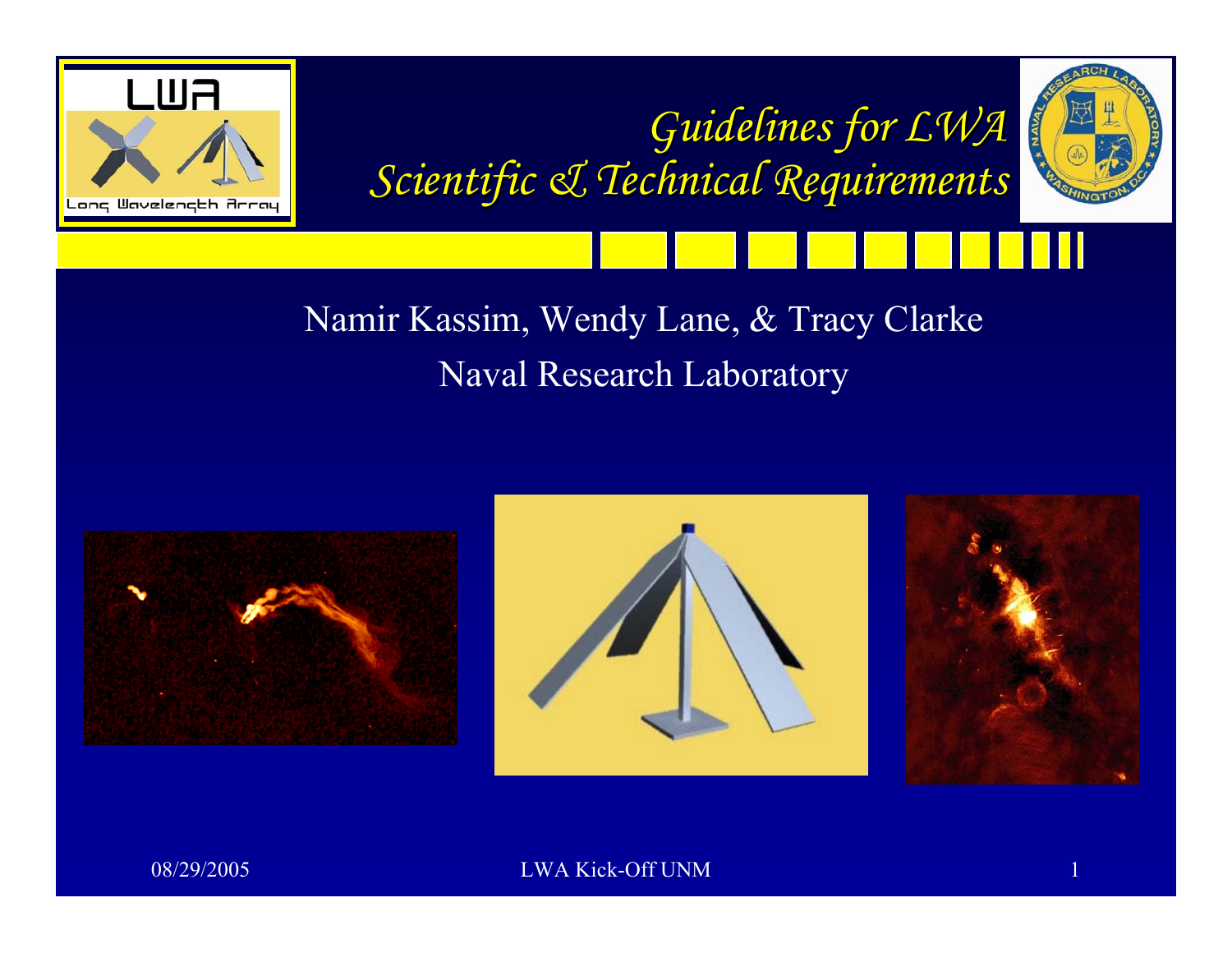





Namir Kassim, Wendy Lane, & Tracy Clarke Naval Research Laboratory





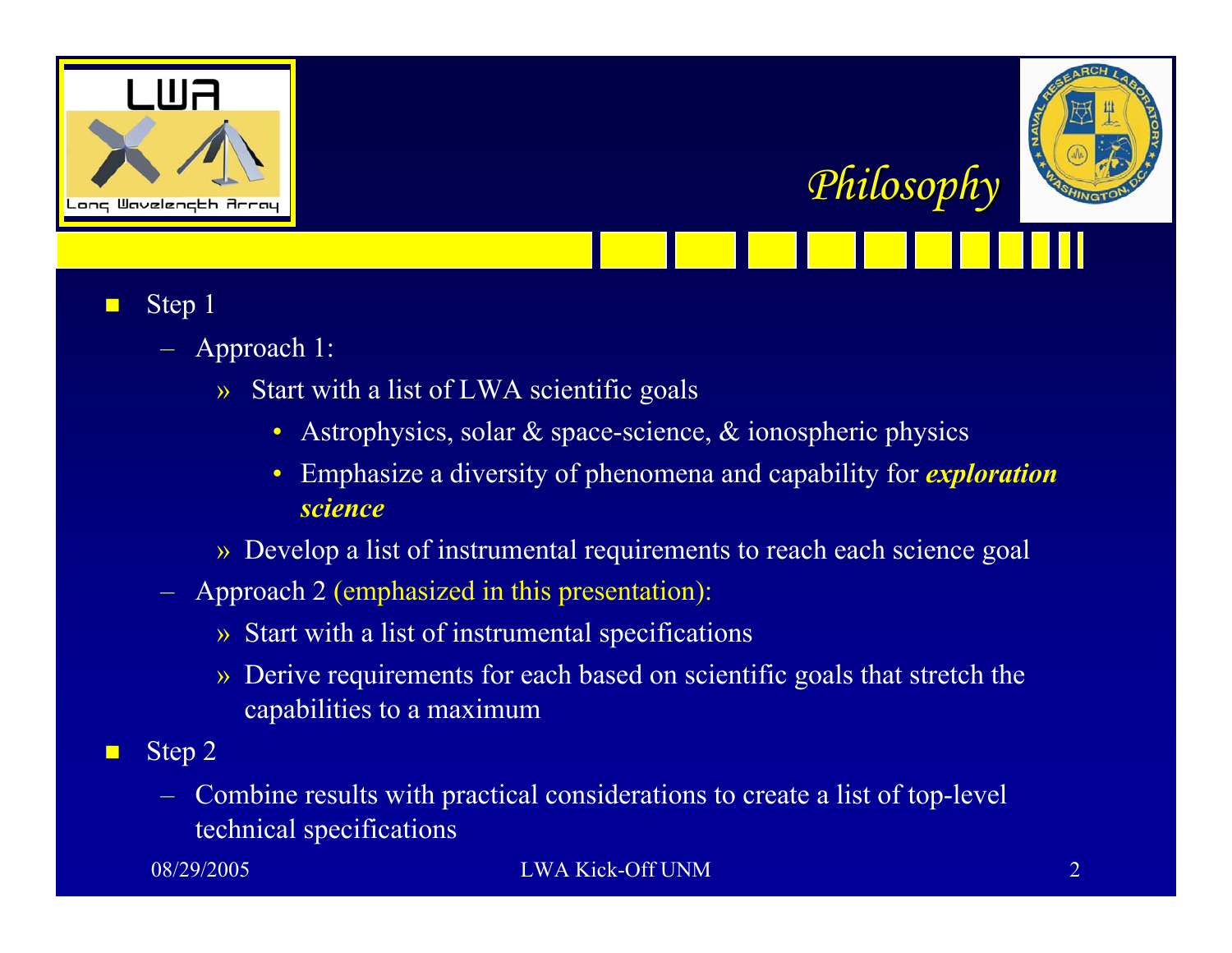



- П Step 1
	- Approach 1:
		- » Start with a list of LWA scientific goals
			- Astrophysics, solar & space-science, & ionospheric physics
			- • Emphasize a diversity of phenomena and capability for *exploration science*
		- » Develop a list of instrumental requirements to reach each science goal
	- Approach 2 (emphasized in this presentation):
		- » Start with a list of instrumental specifications
		- » Derive requirements for each based on scientific goals that stretch the capabilities to a maximum
- $\blacksquare$  Step 2
	- Combine results with practical considerations to create a list of top-level technical specifications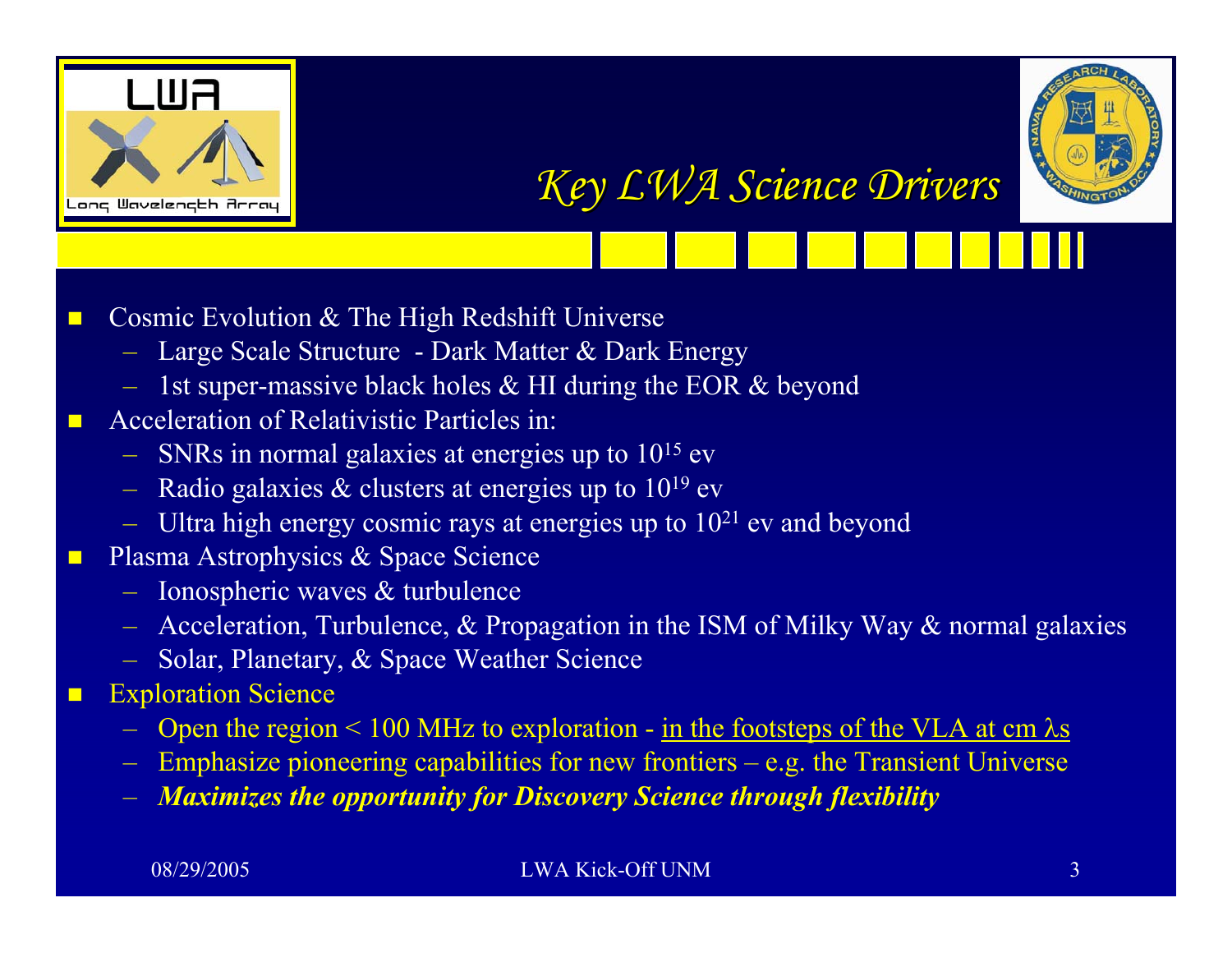



*Key LWA Science Drivers Key LWA Science Drivers*

- П Cosmic Evolution & The High Redshift Universe
	- Large Scale Structure Dark Matter & Dark Energy
	- $-$  1st super-massive black holes & HI during the EOR & beyond
- **Acceleration of Relativistic Particles in:** 
	- $-$  SNRs in normal galaxies at energies up to  $10^{15}$  ev
	- Radio galaxies  $\&$  clusters at energies up to  $10^{19}$  ev
	- Ultra high energy cosmic rays at energies up to  $10^{21}$  ev and beyond
- $\blacksquare$  Plasma Astrophysics & Space Science
	- Ionospheric waves & turbulence
	- $-$  Acceleration, Turbulence, & Propagation in the ISM of Milky Way & normal galaxies
	- Solar, Planetary, & Space Weather Science
- $\Box$  Exploration Science
	- Open the region  $\leq 100$  MHz to exploration <u>in the footsteps of the VLA at cm  $\lambda$ s</u>
	- Emphasize pioneering capabilities for new frontiers e.g. the Transient Universe
	- *Maximizes the opportunity for Discovery Science through flexibility*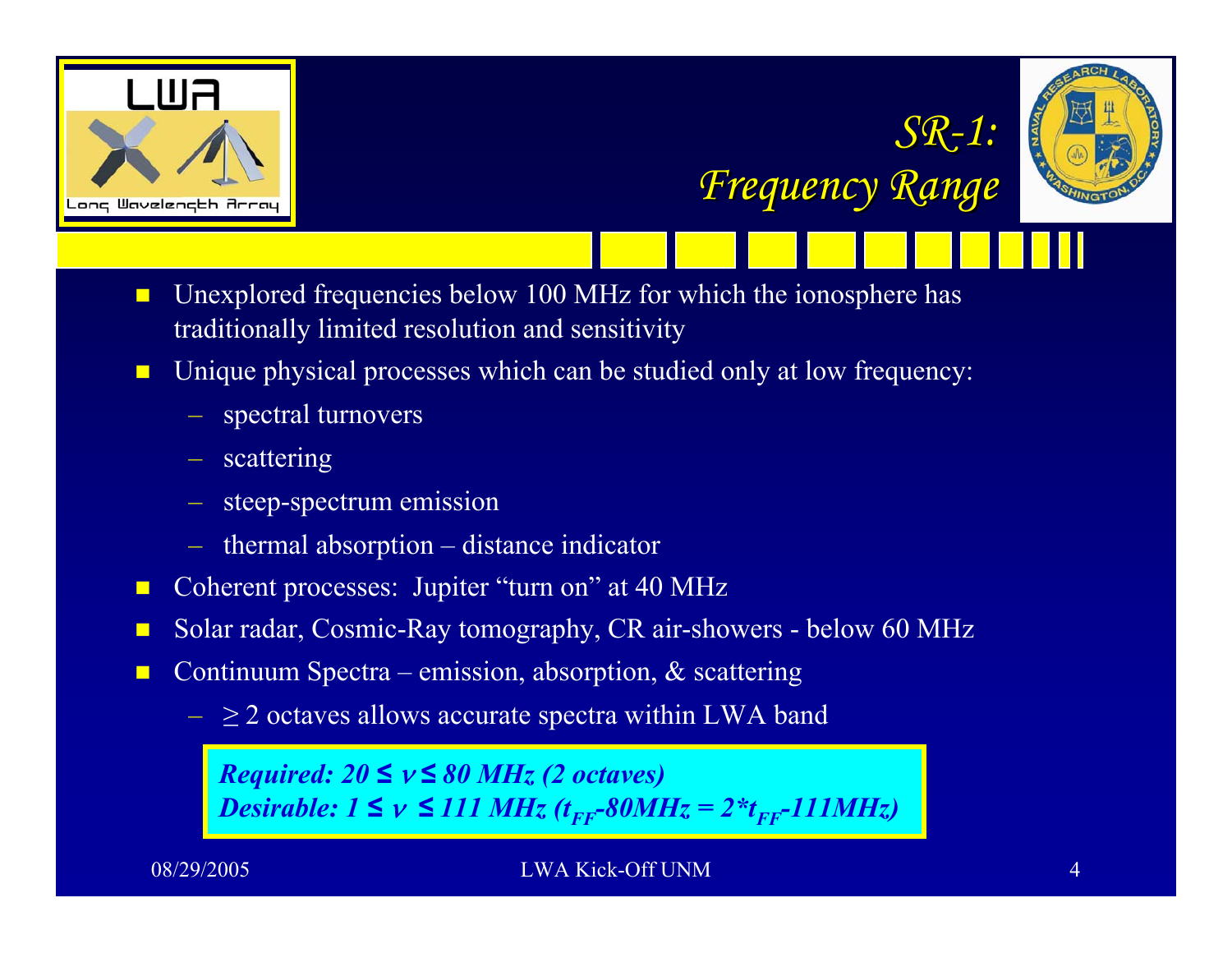



- $\blacksquare$  Unexplored frequencies below 100 MHz for which the ionosphere has traditionally limited resolution and sensitivity
- $\blacksquare$  Unique physical processes which can be studied only at low frequency:
	- spectral turnovers
	- scattering
	- steep-spectrum emission
	- thermal absorption distance indicator
- $\blacksquare$ Coherent processes: Jupiter "turn on" at 40 MHz
- $\blacksquare$ Solar radar, Cosmic-Ray tomography, CR air-showers - below 60 MHz
- $\blacksquare$  Continuum Spectra – emission, absorption, & scattering
	- $\geq 2$  octaves allows accurate spectra within LWA band

*Required: 20 ≤* ν *≤ 80 MHz (2 octaves) Desirable:*  $1 \le v \le 111 \text{ MHz}$  ( $t_{FF}$ -80MHz = 2\* $t_{FF}$ -111MHz)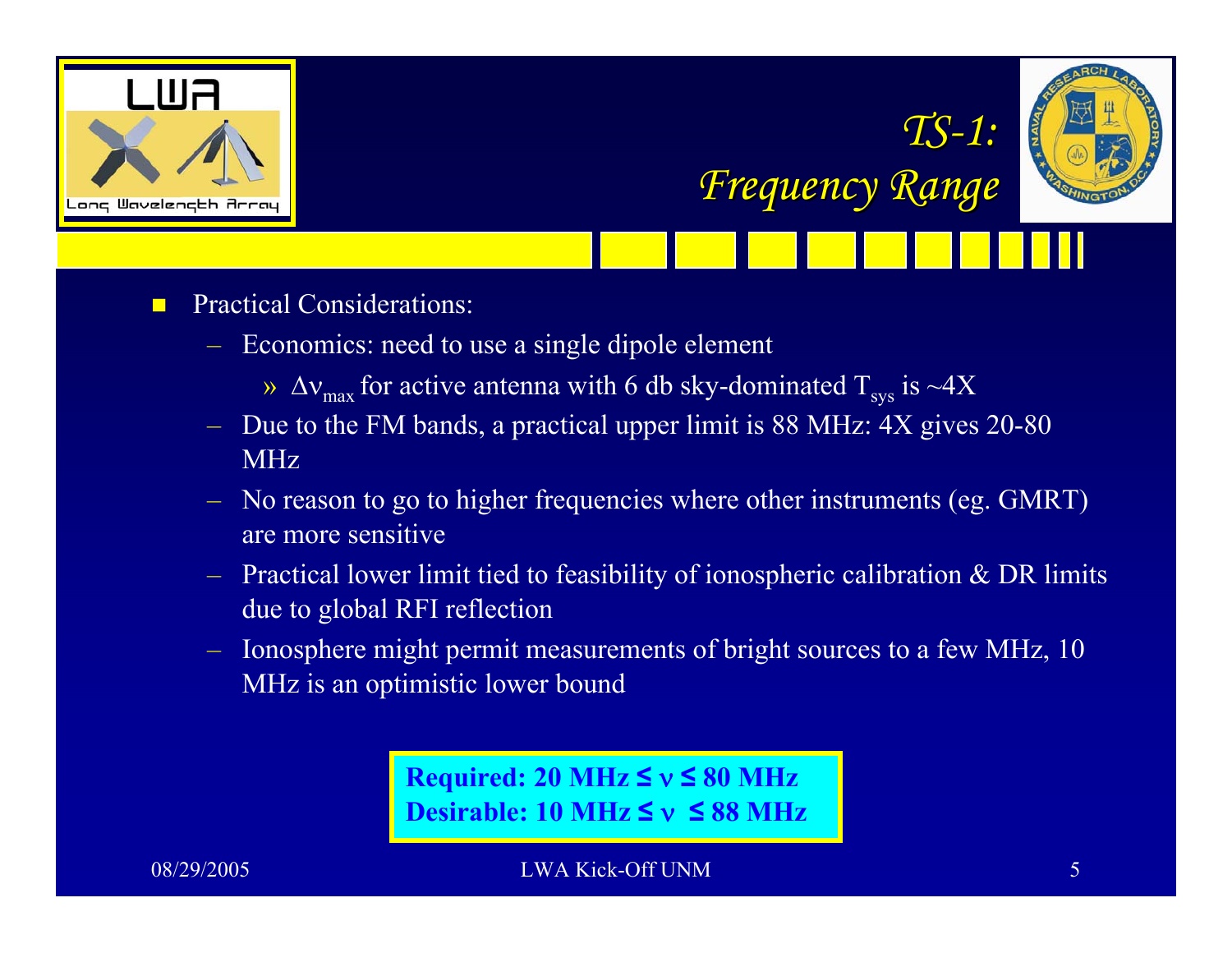





- $\Box$  Practical Considerations:
	- Economics: need to use a single dipole element
		- »  $\Delta{\rm v}_{\rm max}$  for active antenna with 6 db sky-dominated  ${\rm T_{sys}}$  is  ${\sim}4{\rm X}$
	- Due to the FM bands, a practical upper limit is 88 MHz: 4X gives 20-80 MHz
	- No reason to go to higher frequencies where other instruments (eg. GMRT) are more sensitive
	- $-$  Practical lower limit tied to feasibility of ionospheric calibration & DR limits due to global RFI reflection
	- Ionosphere might permit measurements of bright sources to a few MHz, 10 MHz is an optimistic lower bound

**Required: 20 MHz ≤** ν **≤ 80 MHz Desirable: 10 MHz ≤** ν **≤ 88 MHz**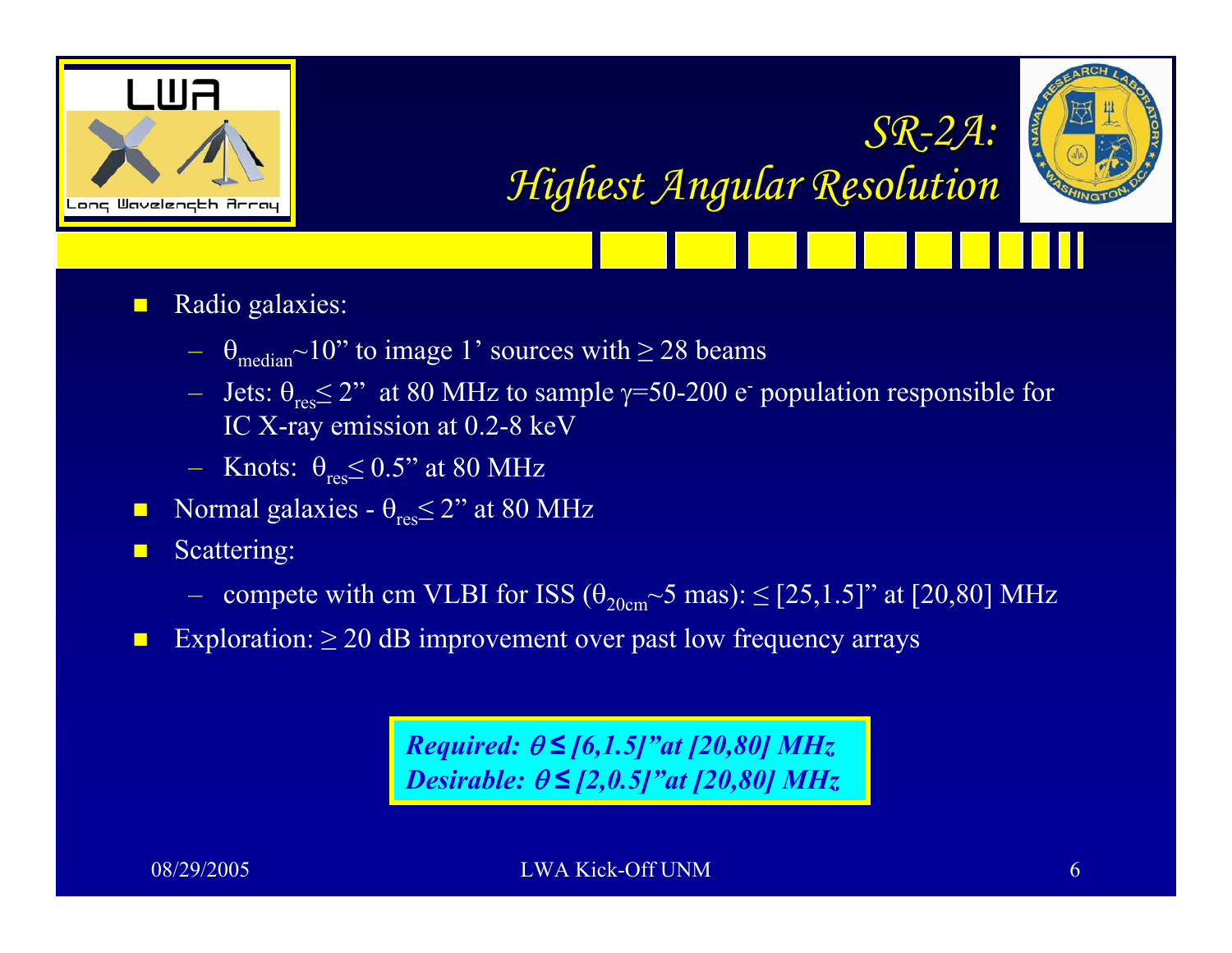



*Highest Angular Resolution Highest Angular Resolution*

*SR-2A:*

- $\blacksquare$  Radio galaxies:
	- $\theta_{\text{median}}$ ~10" to image 1' sources with  $\geq$  28 beams
	- Jets:  $θ<sub>res</sub> ≤ 2"$  at 80 MHz to sample γ=50-200 e<sup>-</sup> population responsible for IC X-ray emission at 0.2-8 keV
	- $-$  Knots:  $\theta_{\rm res}$   $\leq$  0.5" at 80 MHz
- $\blacksquare$ Normal galaxies -  $\theta_{\text{res}} \leq 2$ " at 80 MHz
- п Scattering:
	- compete with cm VLBI for ISS  $(\theta_{20cm} \sim 5 \text{ mas})$ :  $\leq$  [25,1.5]" at [20,80] MHz
- $\blacksquare$ Exploration:  $\geq 20$  dB improvement over past low frequency arrays

*Required:*  θ *≤ [6,1.5]"at [20,80] MHz Desirable:*  θ *≤ [2,0.5]"at [20,80] MHz*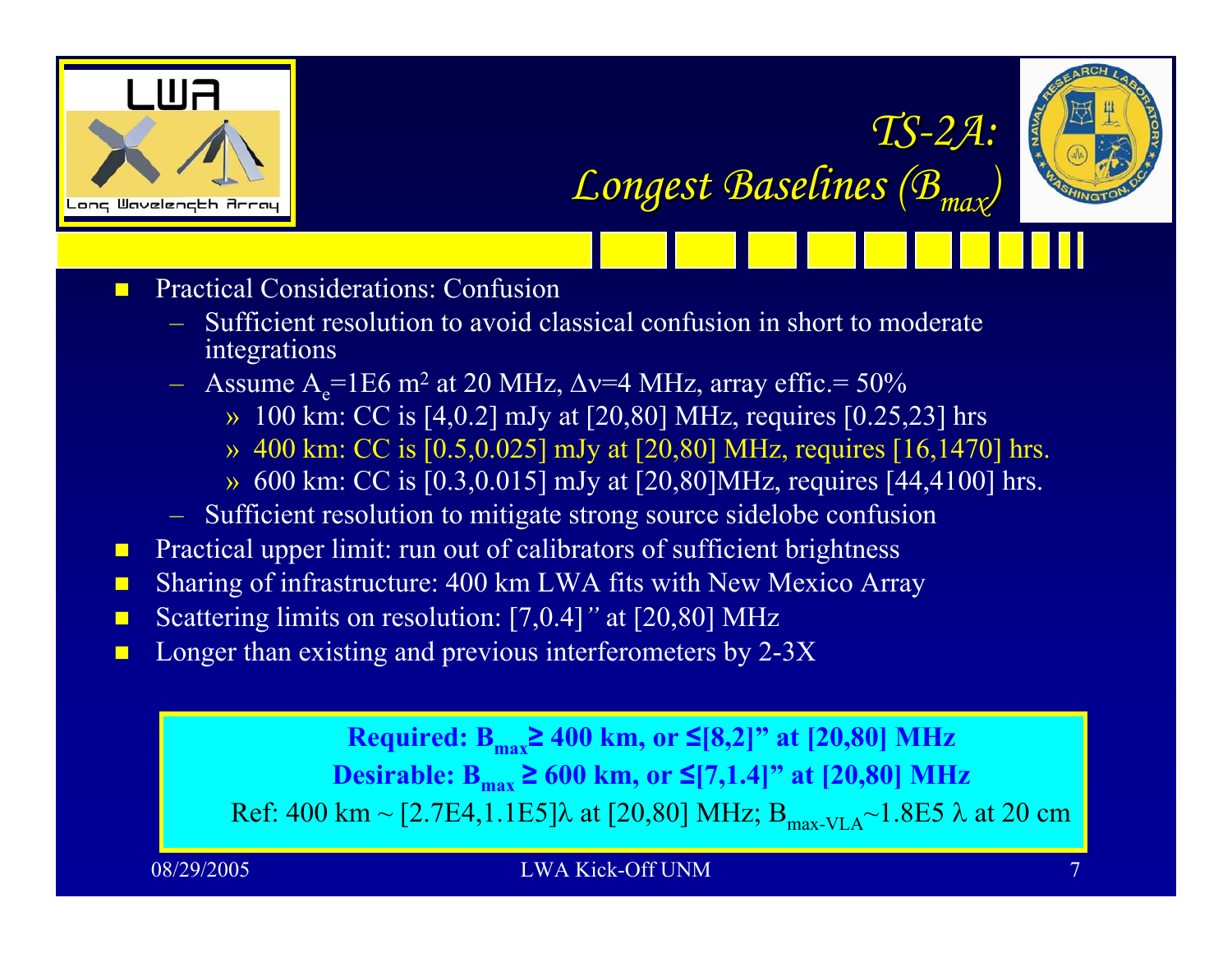



*TS -2A:*

*Longest Baselines (B Longest Baselines (Bmax)*

 $\blacksquare$ Practical Considerations: Confusion

- Sufficient resolution to avoid classical confusion in short to moderate integrations
- $-$  Assume A<sub>e</sub>=1E6 m<sup>2</sup> at 20 MHz,  $\Delta v$ =4 MHz, array effic.= 50%
	- » 100 km: CC is [4,0.2] mJy at [20,80] MHz, requires [0.25,23] hrs
	- » 400 km: CC is [0.5,0.025] mJy at [20,80] MHz, requires [16,1470] hrs.
	- » 600 km: CC is [0.3,0.015] mJy at [20,80]MHz, requires [44,4100] hrs.
- Sufficient resolution to mitigate strong source sidelobe confusion
- $\blacksquare$ Practical upper limit: run out of calibrators of sufficient brightness
- $\blacksquare$ Sharing of infrastructure: 400 km LWA fits with New Mexico Array
- П ■ Scattering limits on resolution: [7,0.4]" at [20,80] MHz
- $\blacksquare$ Longer than existing and previous interferometers by 2-3X

**Required: Bmax≥ 400 km, or ≤[8,2]" at [20,80] MHz Desirable:**  $B_{\text{max}}$  ≥ 600 km, or ≤[7,1.4]" at [20,80] MHz Ref: 400 km ~ [2.7E4,1.1E5]λ at [20,80] MHz;  $B_{max-VLA}$ ~1.8E5 λ at 20 cm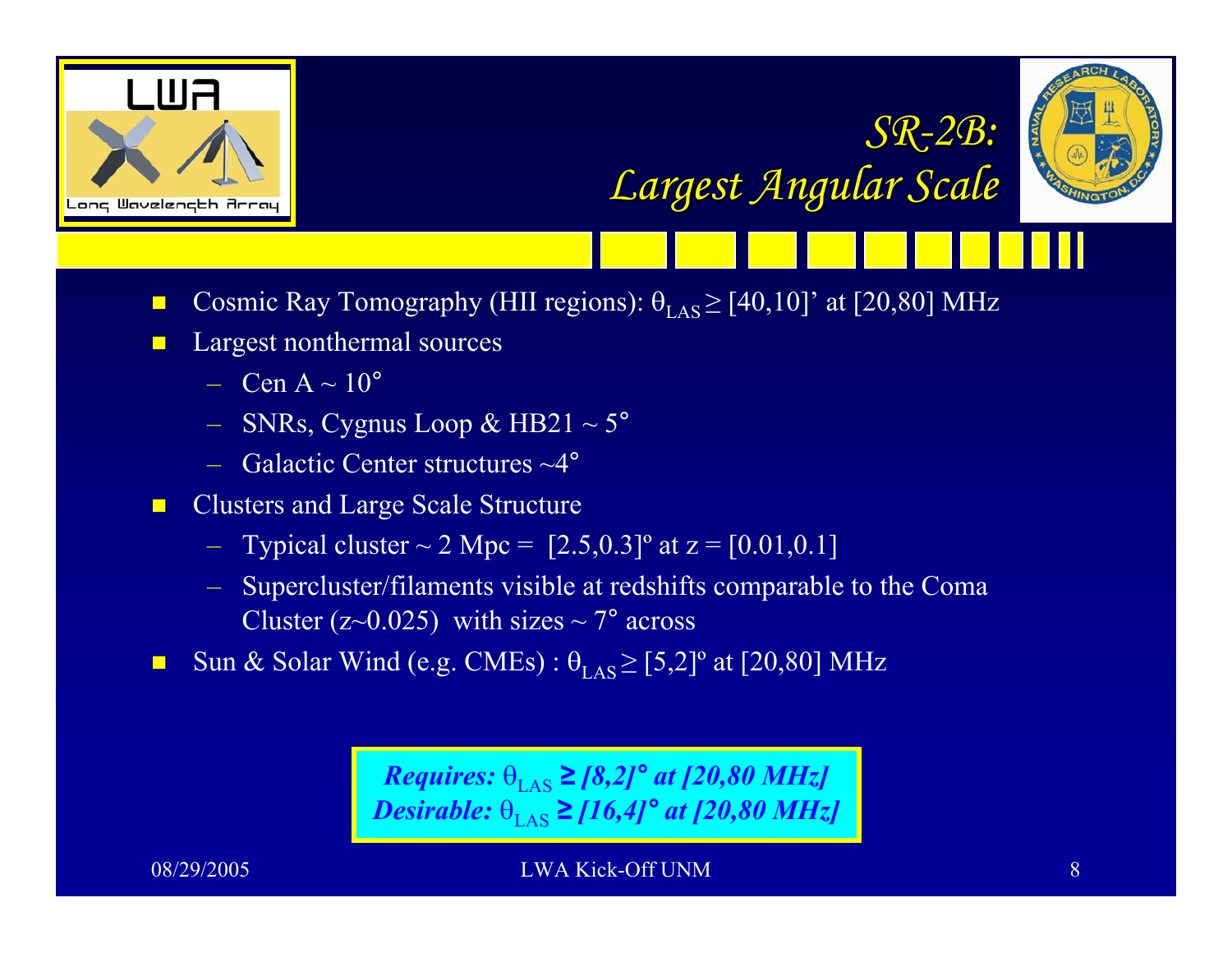





- $\blacksquare$ **Cosmic Ray Tomography (HII regions):**  $\theta_{\text{LAS}} \geq [40, 10]$ ' at [20,80] MHz
- $\blacksquare$  Largest nonthermal sources
	- $-$  Cen A  $\sim$  10<sup>°</sup>
	- SNRs, Cygnus Loop & HB21 ~ 5 °
	- Galactic Center structures ~4 °
- $\blacksquare$  Clusters and Large Scale Structure
	- Typical cluster  $\sim 2$  Mpc =  $[2.5, 0.3]$ <sup>o</sup> at z =  $[0.01, 0.1]$
	- Supercluster/filaments visible at redshifts comparable to the Coma Cluster ( $z \sim 0.025$ ) with sizes  $\sim 7^{\circ}$  across
- $\blacksquare$ Sun & Solar Wind (e.g. CMEs) :  $\theta_{\text{LAS}} \geq [5,2]^{\circ}$  at [20,80] MHz

*Requires:*  $\theta_{\text{LAS}} \geq [8,2]^{\circ}$  *at [20,80 MHz] Desirable:*  $\theta_{\text{LAS}} \geq [16, 4]^{\circ}$  *at* [20,80 MHz]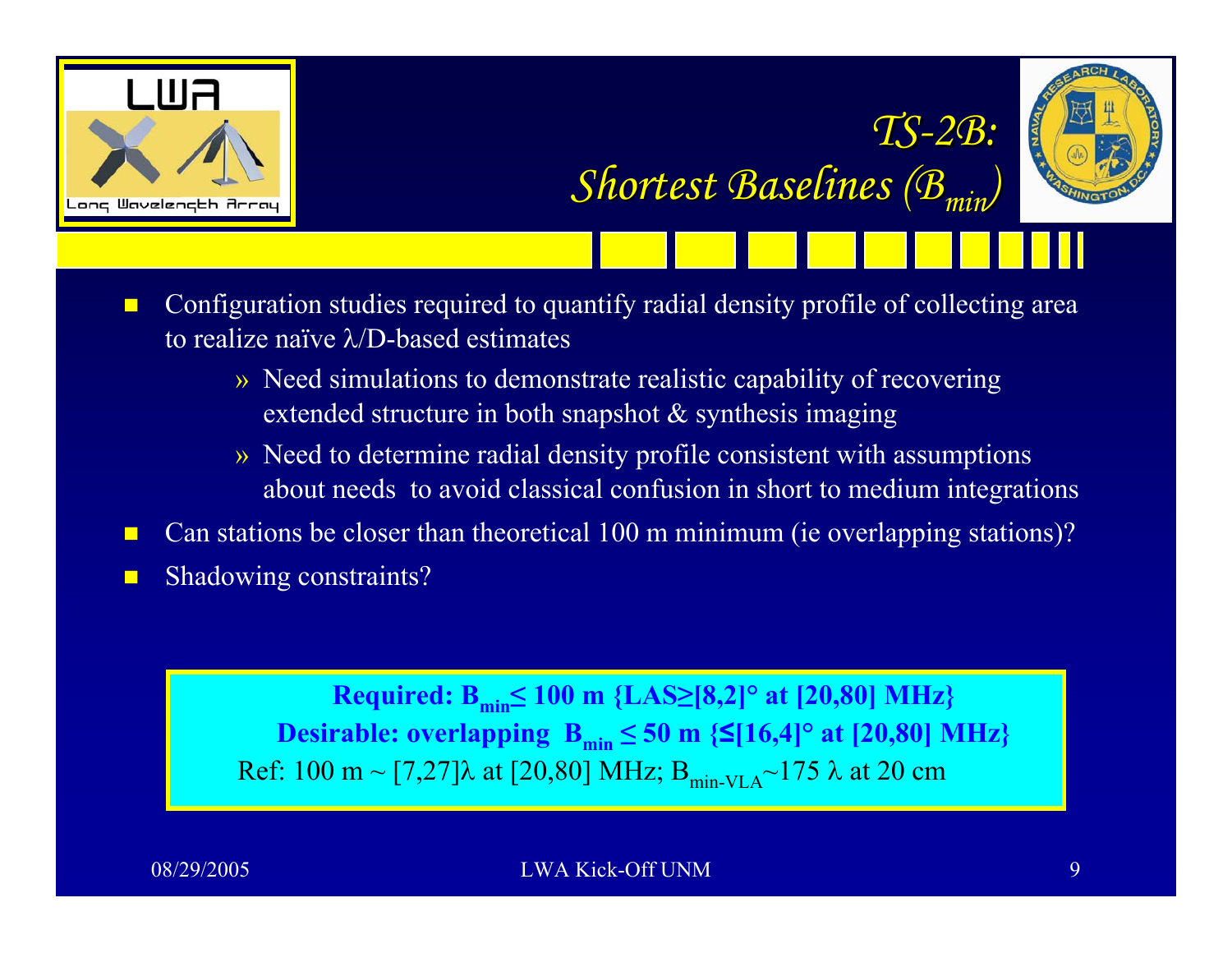



 $\textit{Shortest Baselines} \left( \mathcal{B}_{\textit{min}} \right)$ 

*TS -2B:*

- $\blacksquare$  Configuration studies required to quantify radial density profile of collecting area to realize naïve λ/D-based estimates
	- » Need simulations to demonstrate realistic capability of recovering extended structure in both snapshot & synthesis imaging
	- » Need to determine radial density profile consistent with assumptions about needs to avoid classical confusion in short to medium integrations
- П Can stations be closer than theoretical 100 m minimum (ie overlapping stations)? П Shadowing constraints?

**Required: Bmin≤ 100 m {LAS ≥[8,2]° at [20,80] MHz}**  $\bf{Desirable:}\ \bf{overlapping}\ \bf{B}_{min} \leq 50\ \bf{m}\ \{S[16,4]^{\circ}\ \bf{at}\ [20,80]\ \bf{MHz}\}$ Ref: 100 m ~ [7,27]λ at [20,80] MHz;  $B_{min-VLA}$ ~175 λ at 20 cm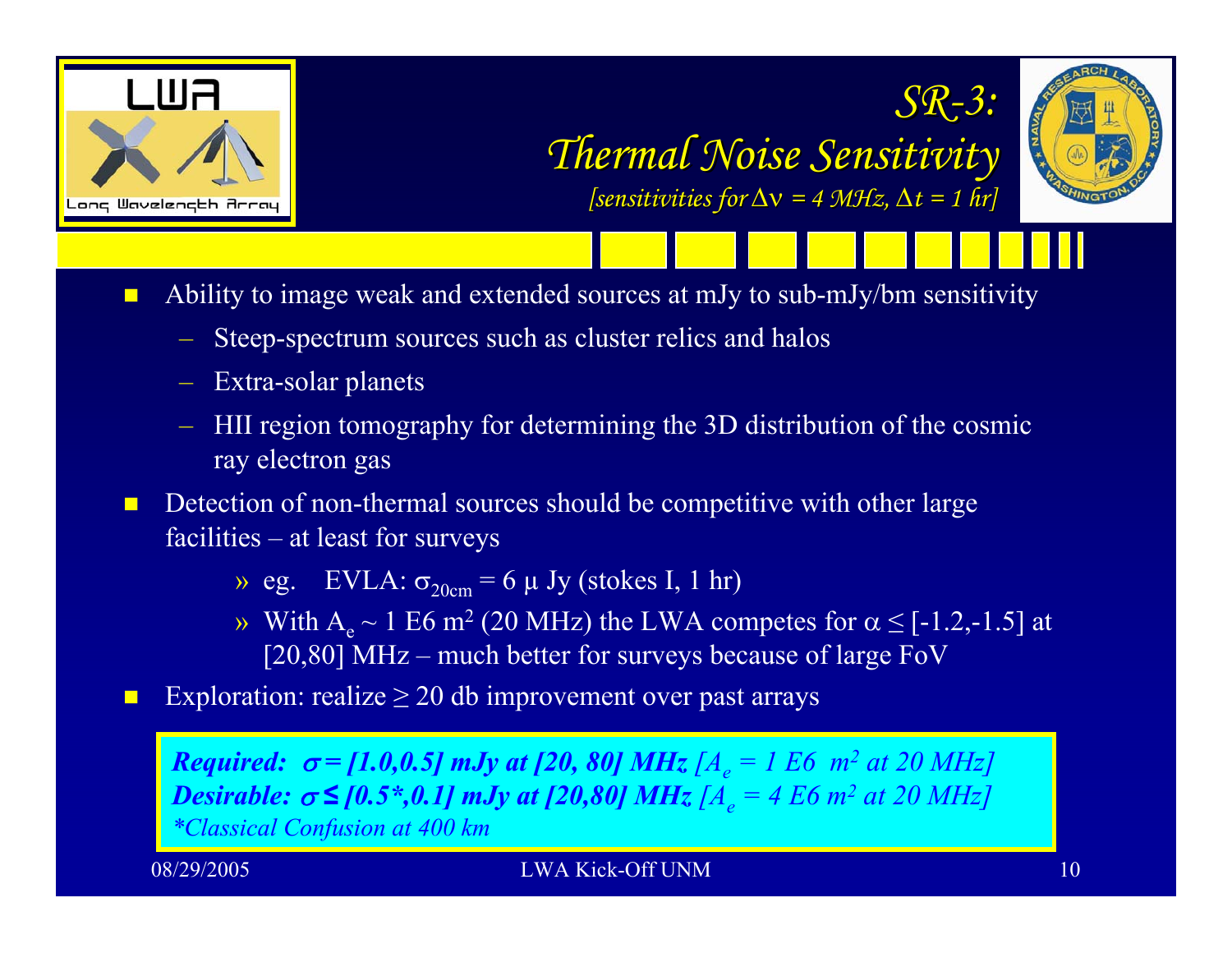





П Ability to image weak and extended sources at mJy to sub-mJy/bm sensitivity

- Steep-spectrum sources such as cluster relics and halos
- Extra-solar planets
- HII region tomography for determining the 3D distribution of the cosmic ray electron gas

 $\Box$  Detection of non-thermal sources should be competitive with other large facilities – at least for surveys

 $\rightarrow$  eg. EVLA:  $\sigma_{20cm}$  = 6  $\mu$  Jy (stokes I, 1 hr)

- $\rightarrow$  With A<sub>e</sub> ~ 1 E6 m<sup>2</sup> (20 MHz) the LWA competes for α ≤ [-1.2,-1.5] at [20,80] MHz – much better for surveys because of large FoV
- $\Box$ Exploration: realize  $\geq 20$  db improvement over past arrays

*Required:*  $\sigma$  = [1.0,0.5] mJy at [20, 80] MHz [A<sub>e</sub> = 1 E6 m<sup>2</sup> at 20 MHz] *Desirable:*  $\sigma \leq [0.5^{\ast}, 0.1]$  mJy at [20,80] MHz [ $A_e = 4$  E6 m<sup>2</sup> at 20 MHz] *\*Classical Confusion at 400 km*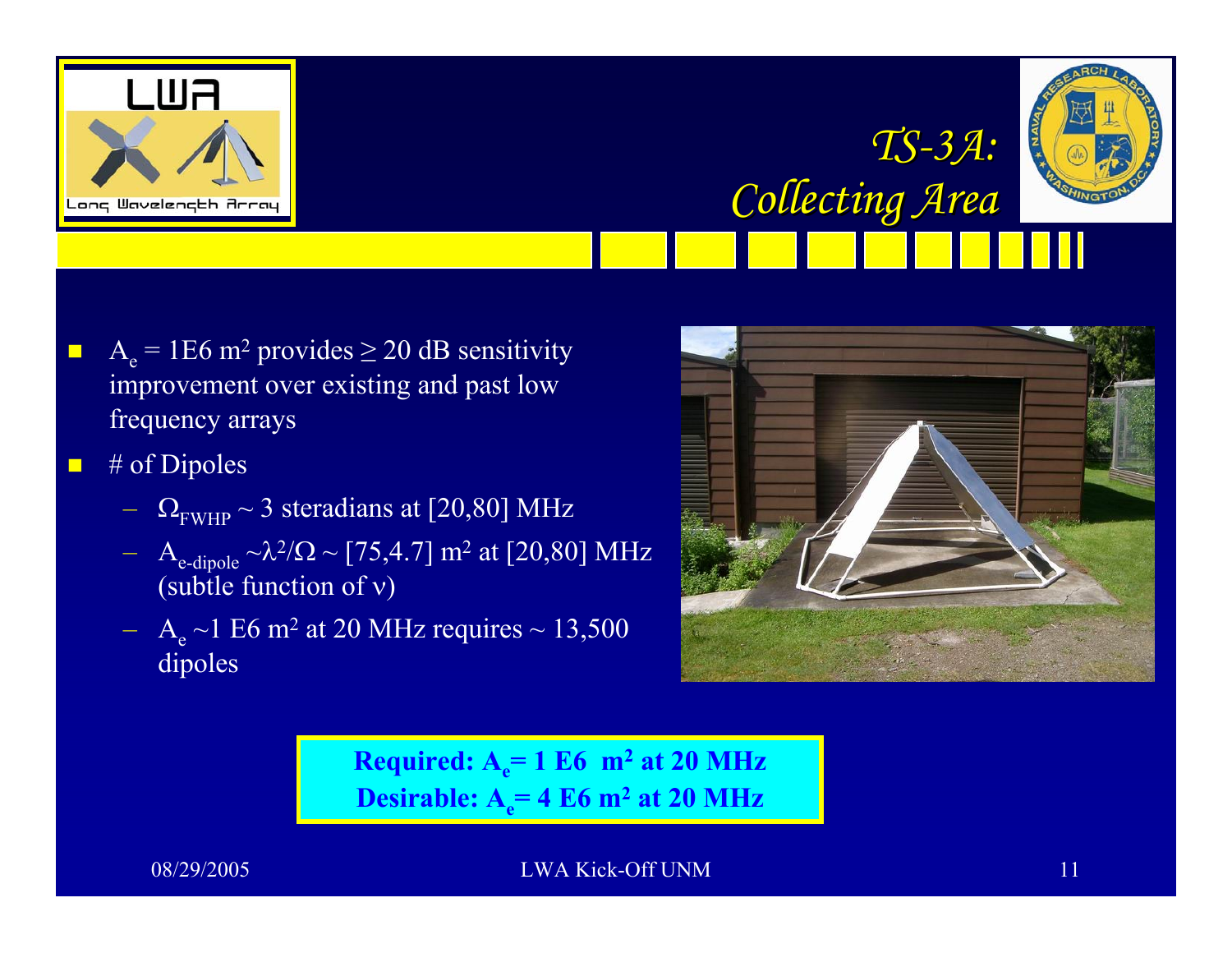



*Collecting Area Collecting Area*

- $\blacksquare$  $A_e$  = 1E6 m<sup>2</sup> provides  $\geq$  20 dB sensitivity improvement over existing and past low frequency arrays
- $\blacksquare$  # of Dipoles
	- $\Omega_{\rm FWHP} \sim 3$  steradians at [20,80] MHz
	- $A_{\text{e-dipole}} \sim \lambda^2/\Omega \sim [75, 4.7] \text{ m}^2 \text{ at } [20, 80] \text{ MHz}$ (subtle function of ν )
	- $A_e$  ~1 E6 m<sup>2</sup> at 20 MHz requires ~ 13,500 dipoles



*TS -3A:*

**Required: A <sup>e</sup>= 1 E6 m 2 at 20 MHz Desirable: A <sup>e</sup>= 4 E6 m 2 at 20 MHz**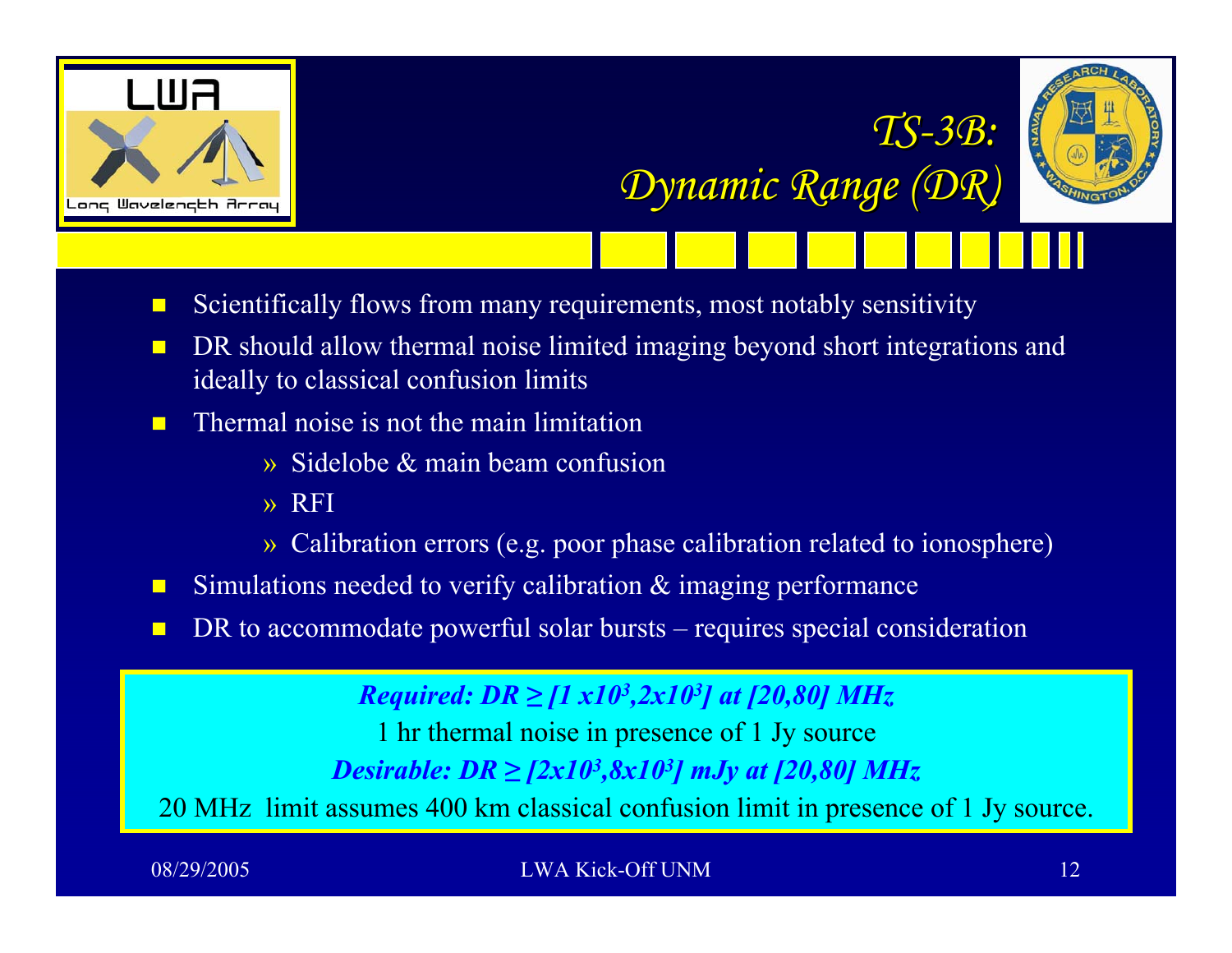

*TS -3B:* 

*Dynamic Range (DR) Dynamic Range (DR)*

- $\blacksquare$ Scientifically flows from many requirements, most notably sensitivity
- $\blacksquare$  DR should allow thermal noise limited imaging beyond short integrations and ideally to classical confusion limits
- $\blacksquare$  Thermal noise is not the main limitation
	- » Sidelobe & main beam confusion
	- » RFI
	- » Calibration errors (e.g. poor phase calibration related to ionosphere)
- $\blacksquare$ Simulations needed to verify calibration & imaging performance
- $\blacksquare$ DR to accommodate powerful solar bursts – requires special consideration

*Required: DR ≥ [1 x10 3,2x10 3] at [20,80] MHz* 1 hr thermal noise in presence of 1 Jy source *Desirable: DR* ≥ [2x10<sup>3</sup>,8x10<sup>3</sup>] mJy at [20,80] MHz 20 MHz limit assumes 400 km classical confusion limit in presence of 1 Jy source.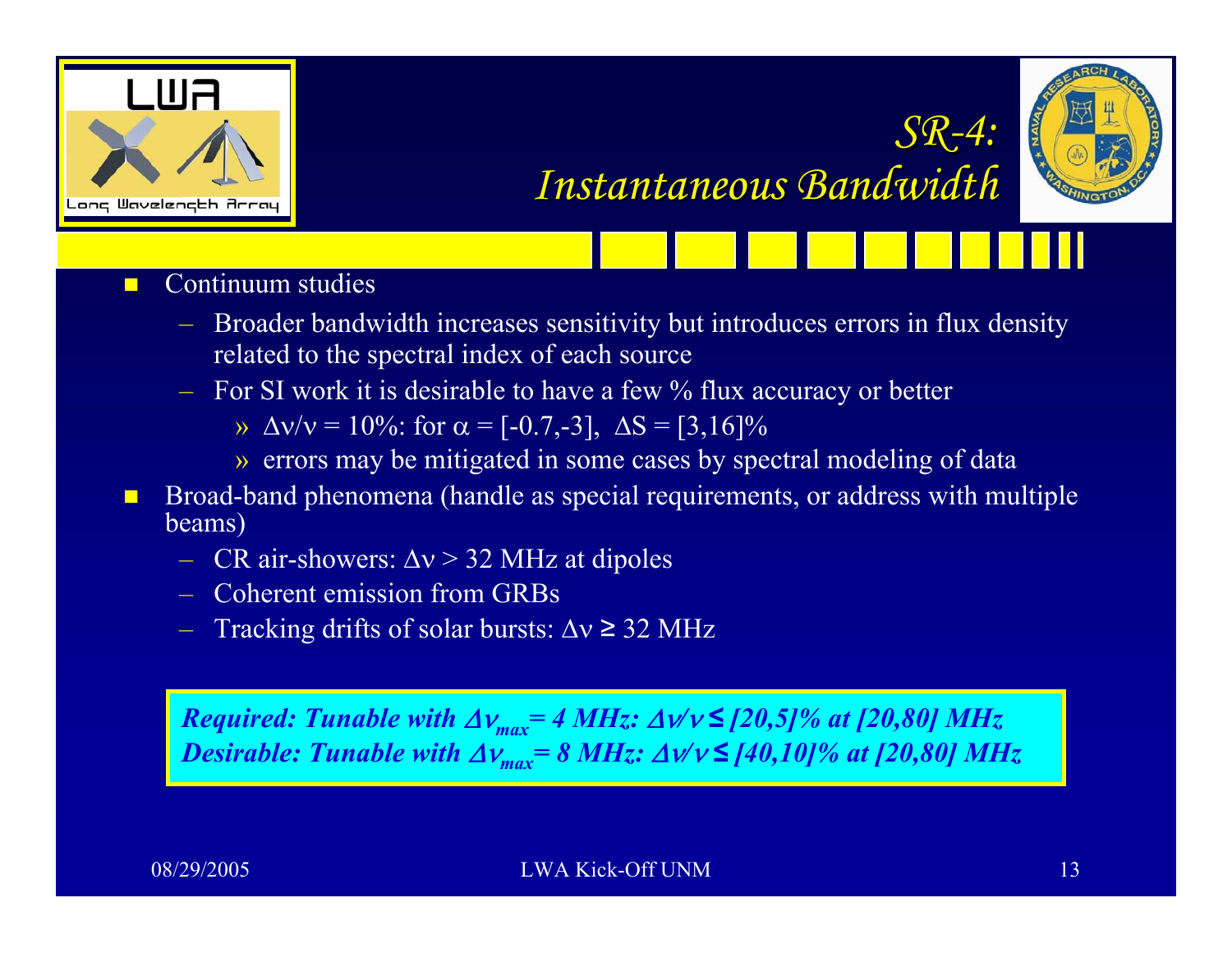



*SR-4:* 

*Instantaneous Bandwidth Instantaneous Bandwidth*

- $\blacksquare$  Continuum studies
	- Broader bandwidth increases sensitivity but introduces errors in flux density related to the spectral index of each source
	- $-$  For SI work it is desirable to have a few % flux accuracy or better
		- » Δν/ν = 10%: for  $\alpha$  = [-0.7,-3], ΔS = [3,16]%
		- » errors may be mitigated in some cases by spectral modeling of data
- $\blacksquare$  Broad-band phenomena (handle as special requirements, or address with multiple beams)
	- CR air-showers:  $\Delta v > 32$  MHz at dipoles
	- Coherent emission from GRBs
	- Tracking drifts of solar bursts: Δν ≥ 32 MHz

*Required: Tunable with* Δν*max= 4 MHz:* Δν*/*<sup>ν</sup> *≤ [20,5]% at [20,80] MHz Desirable: Tunable with* Δν*max= 8 MHz:* Δν*/*<sup>ν</sup> *≤ [40,10]% at [20,80] MHz*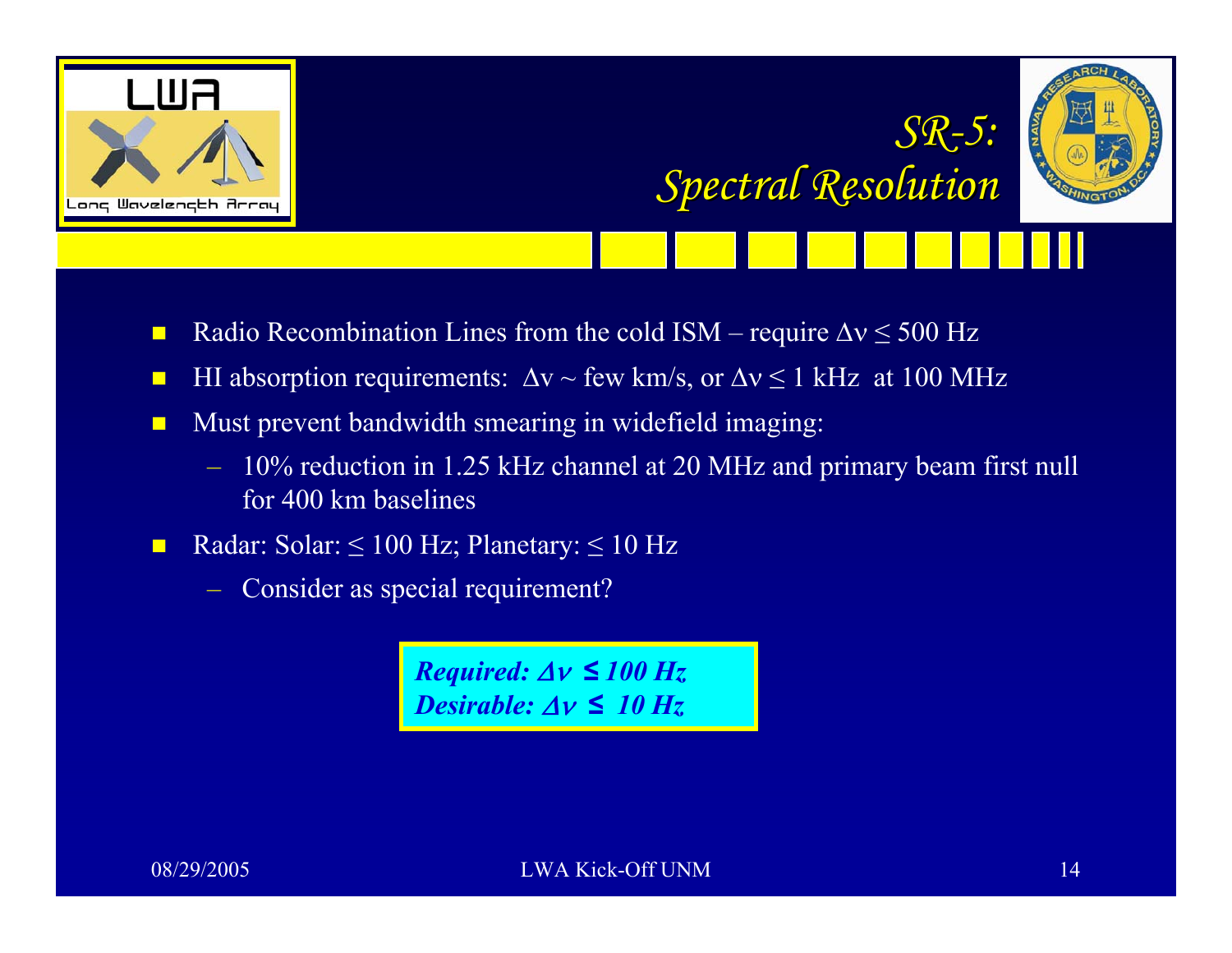



*Spectral Resolution Spectral Resolution*

*SR-5:*

- $\blacksquare$ Radio Recombination Lines from the cold  $ISM$  – require  $\Delta v \le 500$  Hz
- $\blacksquare$ **H** HI absorption requirements:  $\Delta v \sim$  few km/s, or  $\Delta v \le 1$  kHz at 100 MHz
- $\blacksquare$  Must prevent bandwidth smearing in widefield imaging:
	- 10% reduction in 1.25 kHz channel at 20 MHz and primary beam first null for 400 km baselines
- $\blacksquare$ Radar: Solar:  $\leq 100$  Hz; Planetary:  $\leq 10$  Hz
	- Consider as special requirement?

*Required:* Δν *≤ 100 Hz Desirable:* Δν *≤ 10 Hz*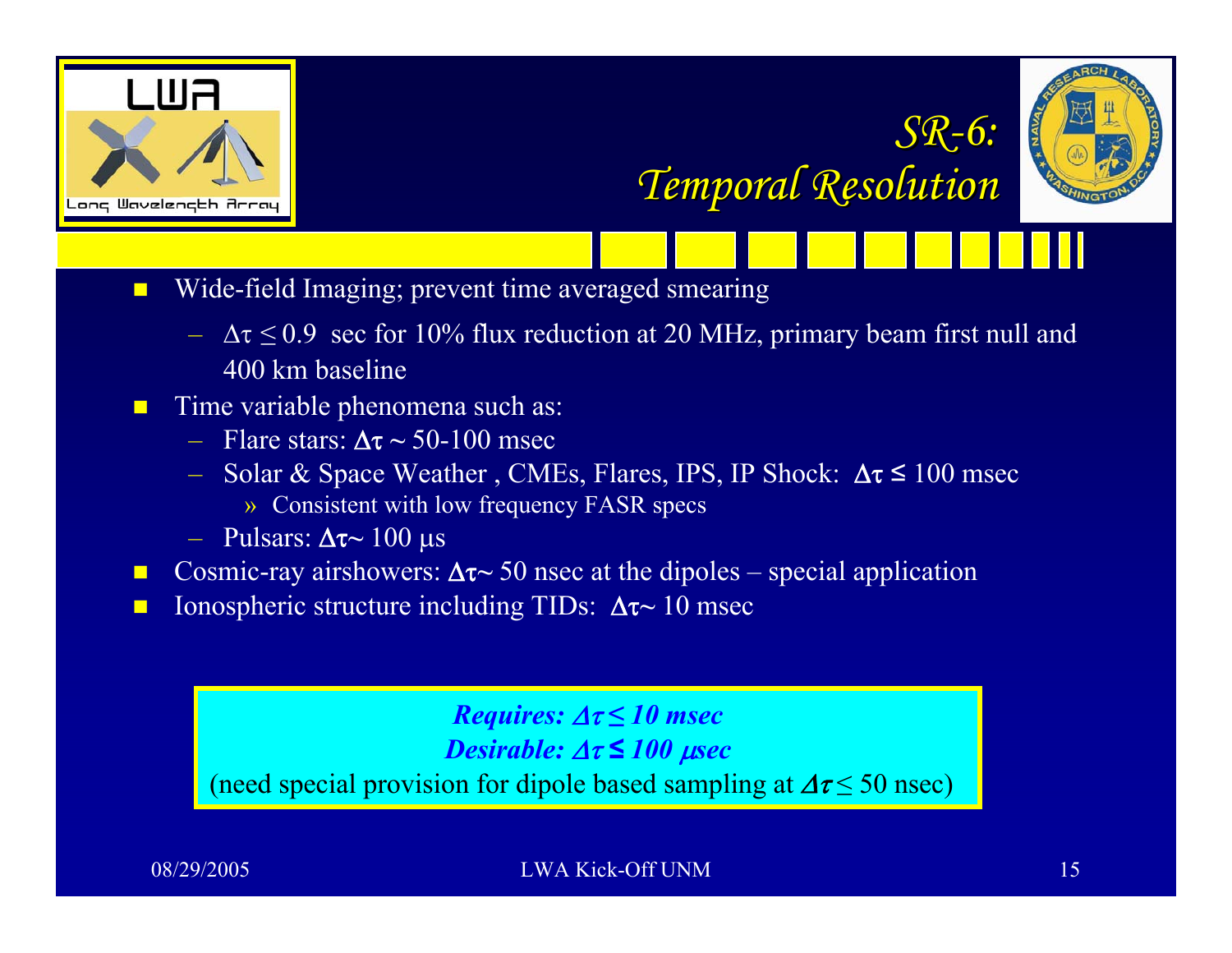



*SR-6:*

*Temporal Resolution Temporal Resolution*

- $\blacksquare$  Wide-field Imaging; prevent time averaged smearing
	- Δτ *≤* 0.9 sec for 10% flux reduction at 20 MHz, primary beam first null and 400 km baseline
- $\blacksquare$  Time variable phenomena such as:
	- Flare stars: Δτ **~** 50-100 msec
	- $−$  Solar & Space Weather, CMEs, Flares, IPS, IP Shock:  $Δτ ≤ 100$  msec
		- » Consistent with low frequency FASR specs
	- Pulsars: Δτ~ 100 μs
- $\Box$ **■** Cosmic-ray airshowers:  $\Delta \tau$  > 50 nsec at the dipoles – special application
- $\blacksquare$ **■** Ionospheric structure including TIDs:  $Δτ~10$  msec

## *Requires:* Δτ *≤ 10 msec*

*Desirable:* Δτ *≤ 100*  μ*sec*

(need special provision for dipole based sampling at  $\Delta \tau \leq 50$  nsec)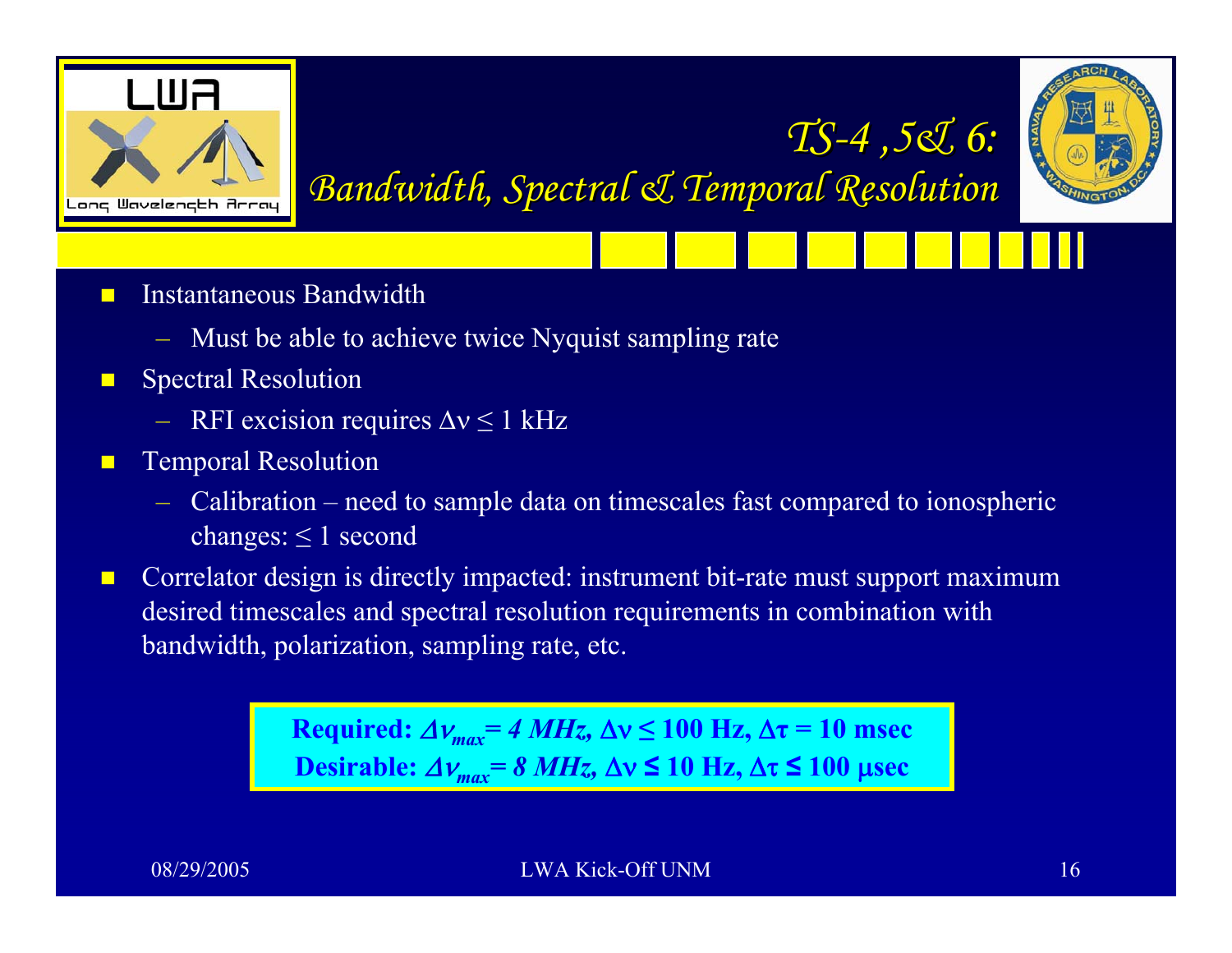

*TS -4 ,5& 6: 4 ,5& 6: Bandwidth, Spectral & Temporal Resolution Bandwidth, Spectral & Temporal Resolution*

- $\blacksquare$  Instantaneous Bandwidth
	- Must be able to achieve twice Nyquist sampling rate
- $\blacksquare$  Spectral Resolution
	- $\sim$  RFI excision requires  $\Delta v \leq 1$  kHz
- $\blacksquare$  Temporal Resolution
	- Calibration need to sample data on timescales fast compared to ionospheric changes:  $\leq 1$  second
- $\blacksquare$  Correlator design is directly impacted: instrument bit-rate must support maximum desired timescales and spectral resolution requirements in combination with bandwidth, polarization, sampling rate, etc.

**Required:** Δν*max= 4 MHz,* Δν **≤ 100 Hz,**  Δ **τ = 10 msec Desirable:** Δν*max= 8 MHz,* Δν **≤ 10 Hz,** Δτ **≤ 100**  μ**sec**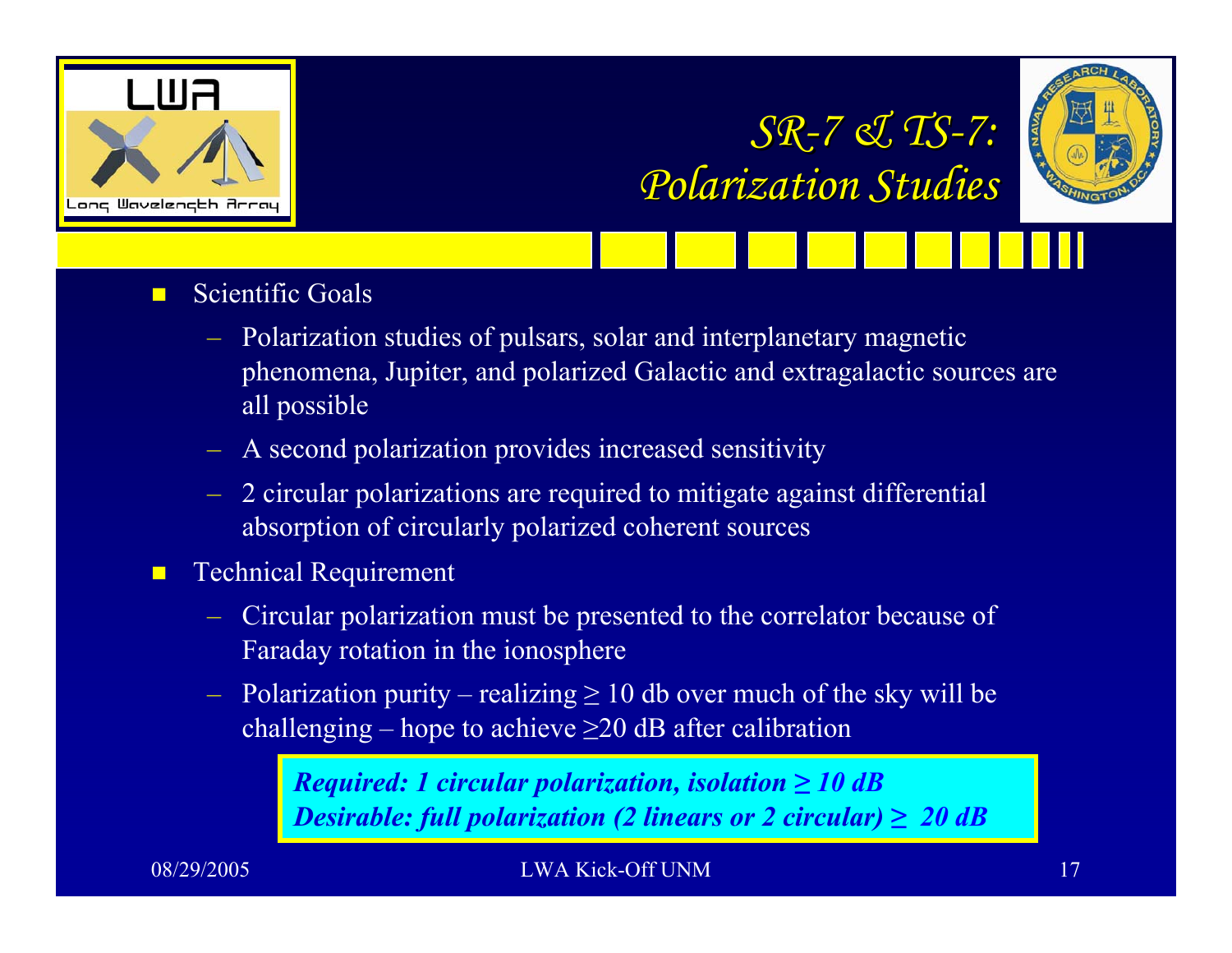

# *SR-7 & TS -7: Polarization Studies Polarization Studies*



- $\blacksquare$  Scientific Goals
	- Polarization studies of pulsars, solar and interplanetary magnetic phenomena, Jupiter, and polarized Galactic and extragalactic sources are all possible
	- A second polarization provides increased sensitivity
	- 2 circular polarizations are required to mitigate against differential absorption of circularly polarized coherent sources
- $\blacksquare$  Technical Requirement
	- Circular polarization must be presented to the correlator because of Faraday rotation in the ionosphere
	- $-$  Polarization purity realizing  $\geq 10$  db over much of the sky will be challenging – hope to achieve  $\geq$ 20 dB after calibration

*Required: 1 circular polarization, isolation ≥ 10 dB Desirable: full polarization (2 linears or 2 circular) ≥ 20 dB*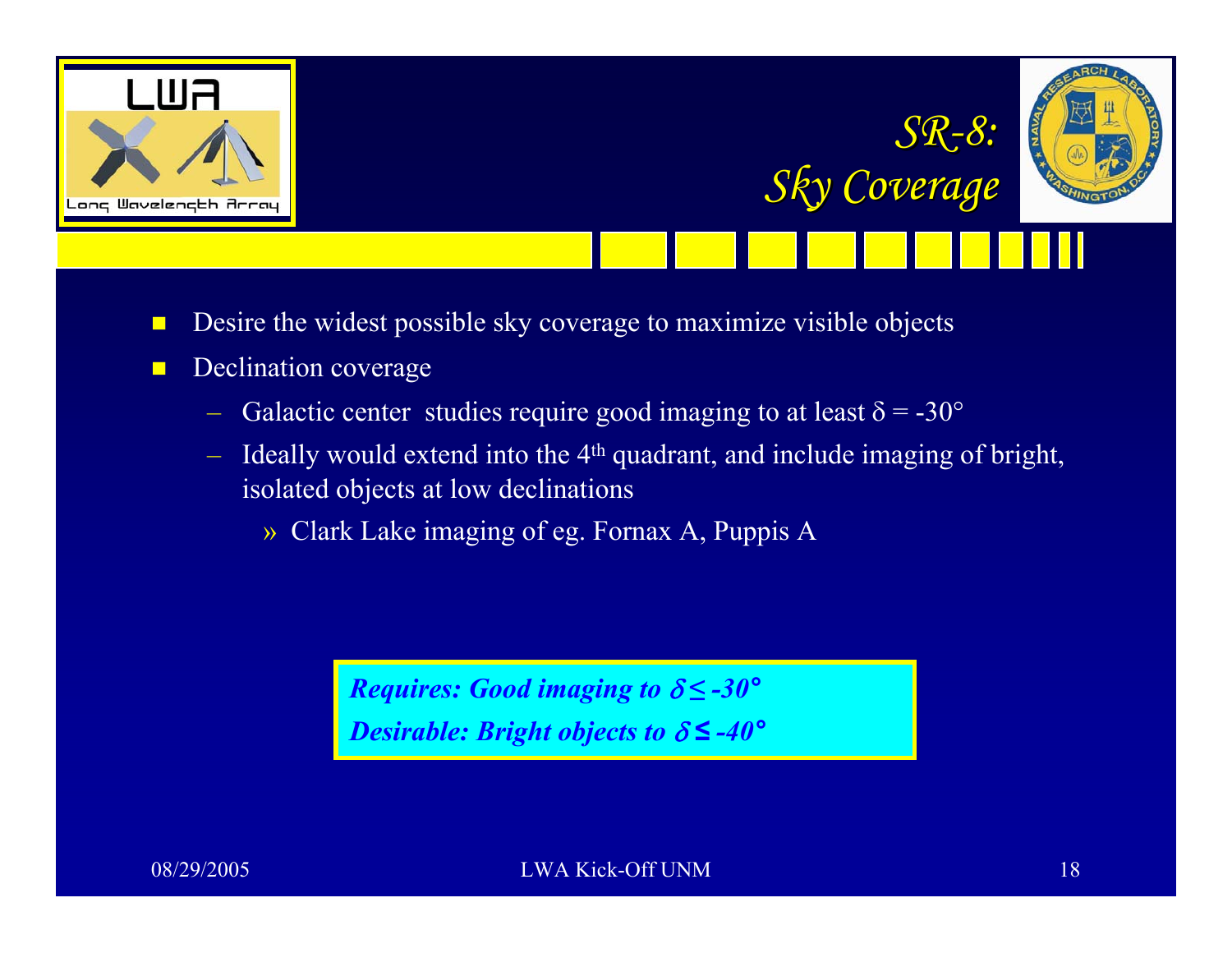



*SR-8:*

*Sky Coverage Sky Coverage*

- $\Box$ Desire the widest possible sky coverage to maximize visible objects
- $\blacksquare$  Declination coverage
	- Galactic center studies require good imaging to at least  $\delta = -30^{\circ}$
	- $-$  Ideally would extend into the 4<sup>th</sup> quadrant, and include imaging of bright, isolated objects at low declinations
		- » Clark Lake imaging of eg. Fornax A, Puppis A

*Requires: Good imaging to*  δ *≤ -30 °Desirable: Bright objects to*  δ *≤ -40 °*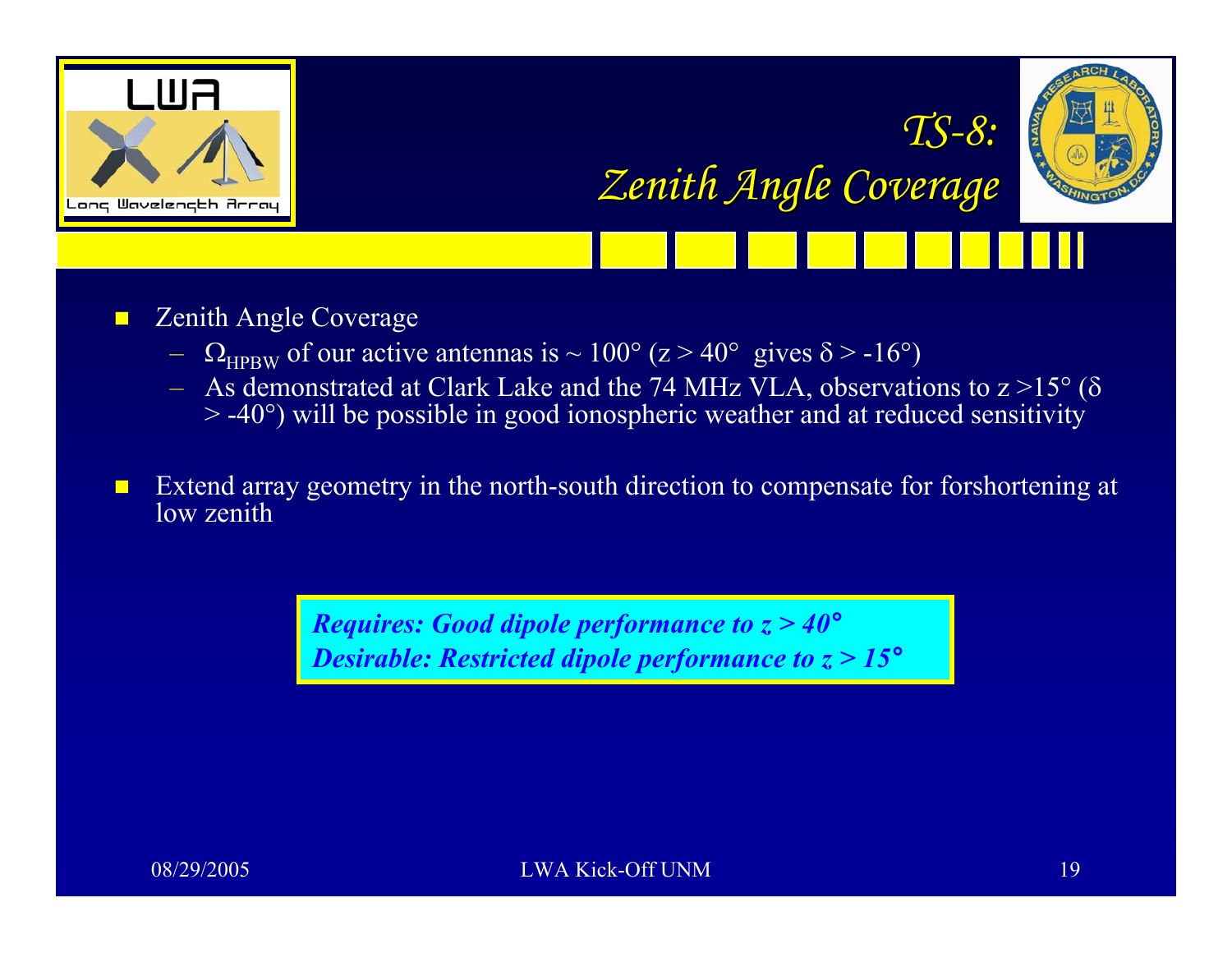

*TS -8: Zenith Angle Coverage Zenith Angle Coverage*



 $\blacksquare$ Zenith Angle Coverage

- $-$  Q<sub>HPBW</sub> of our active antennas is  $\sim 100^{\circ}$  (z  $> 40^{\circ}$  gives  $\delta$   $>$  -16 $^{\circ}$ )
- $-$  As demonstrated at Clark Lake and the 74 MHz VLA, observations to z  $>$ 15 $^{\circ}$  ( $\delta$  $>$  -40 $^{\circ}$ ) will be possible in good ionospheric weather and at reduced sensitivity

 $\blacksquare$  Extend array geometry in the north-south direction to compensate for forshortening at low zenith

> *Requires: Good dipole performance to z > 40 °Desirable: Restricted dipole performance to z > 15 °*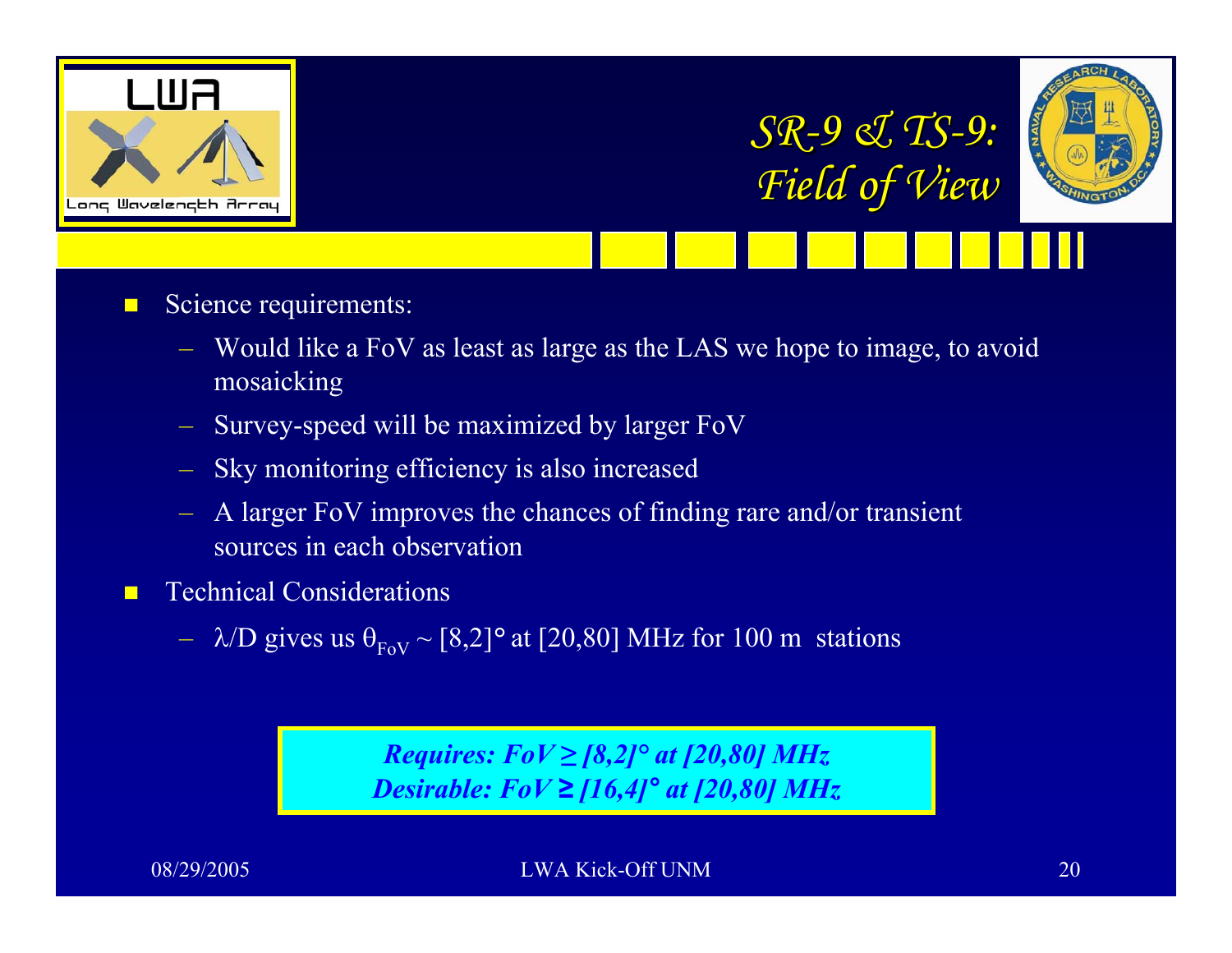





- П Science requirements:
	- Would like a FoV as least as large as the LAS we hope to image, to avoid mosaicking
	- Survey-speed will be maximized by larger FoV
	- Sky monitoring efficiency is also increased
	- A larger FoV improves the chances of finding rare and/or transient sources in each observation
- П Technical Considerations
	- $\lambda/D$  gives us  $\theta_{\text{FoV}} \sim [8,2]^{\circ}$  at [20,80] MHz for 100 m stations

*Requires: FoV ≥ [8,2]° at [20,80] MHz Desirable: FoV ≥ [16,4] ° at [20,80] MHz*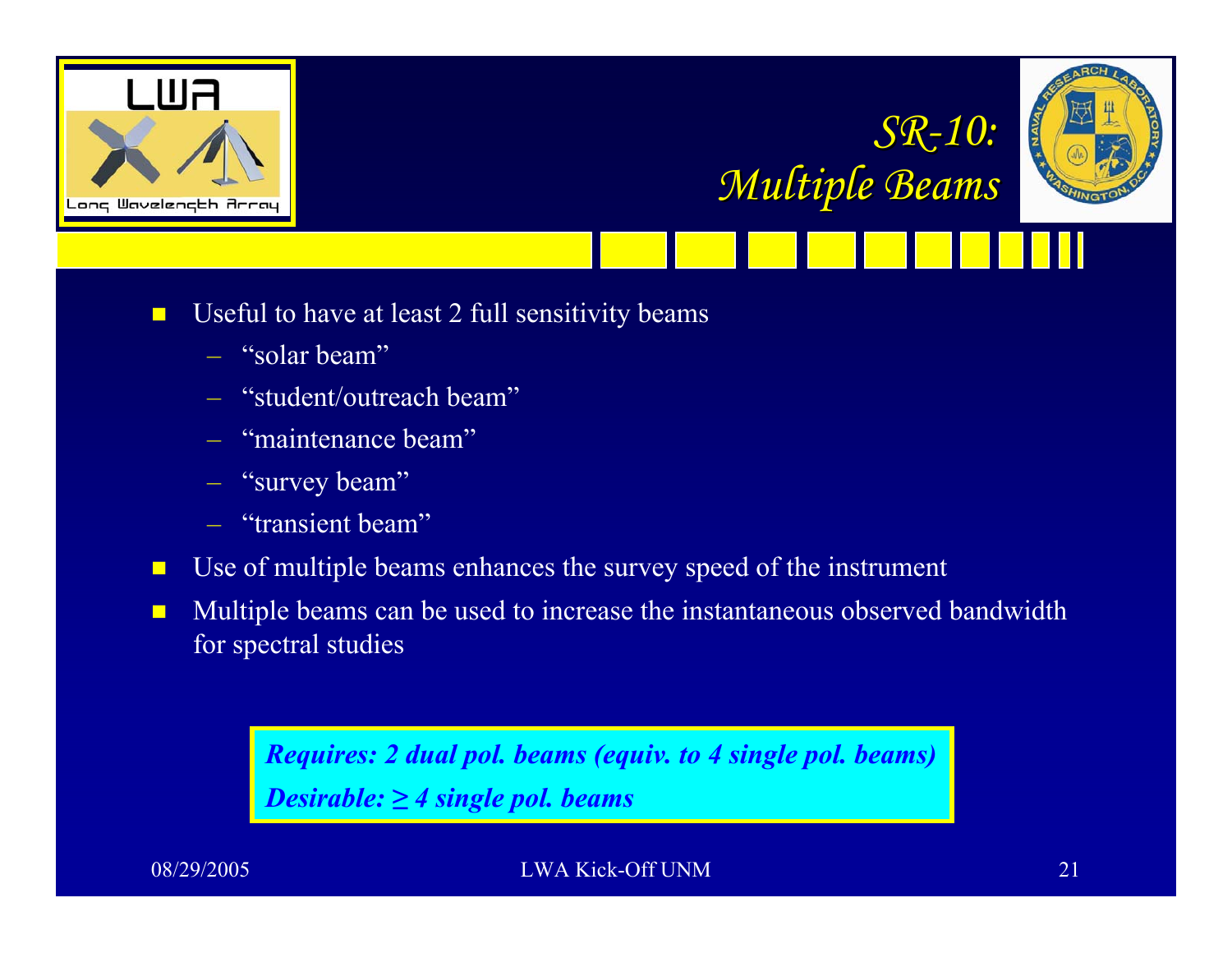





- $\blacksquare$  Useful to have at least 2 full sensitivity beams
	- "solar beam"
	- "student/outreach beam"
	- "maintenance beam"
	- "survey beam"
	- "transient beam"
- $\blacksquare$ Use of multiple beams enhances the survey speed of the instrument
- $\blacksquare$  Multiple beams can be used to increase the instantaneous observed bandwidth for spectral studies

*Requires: 2 dual pol. beams (equiv. to 4 single pol. beams) Desirable: ≥ 4 single pol. beams*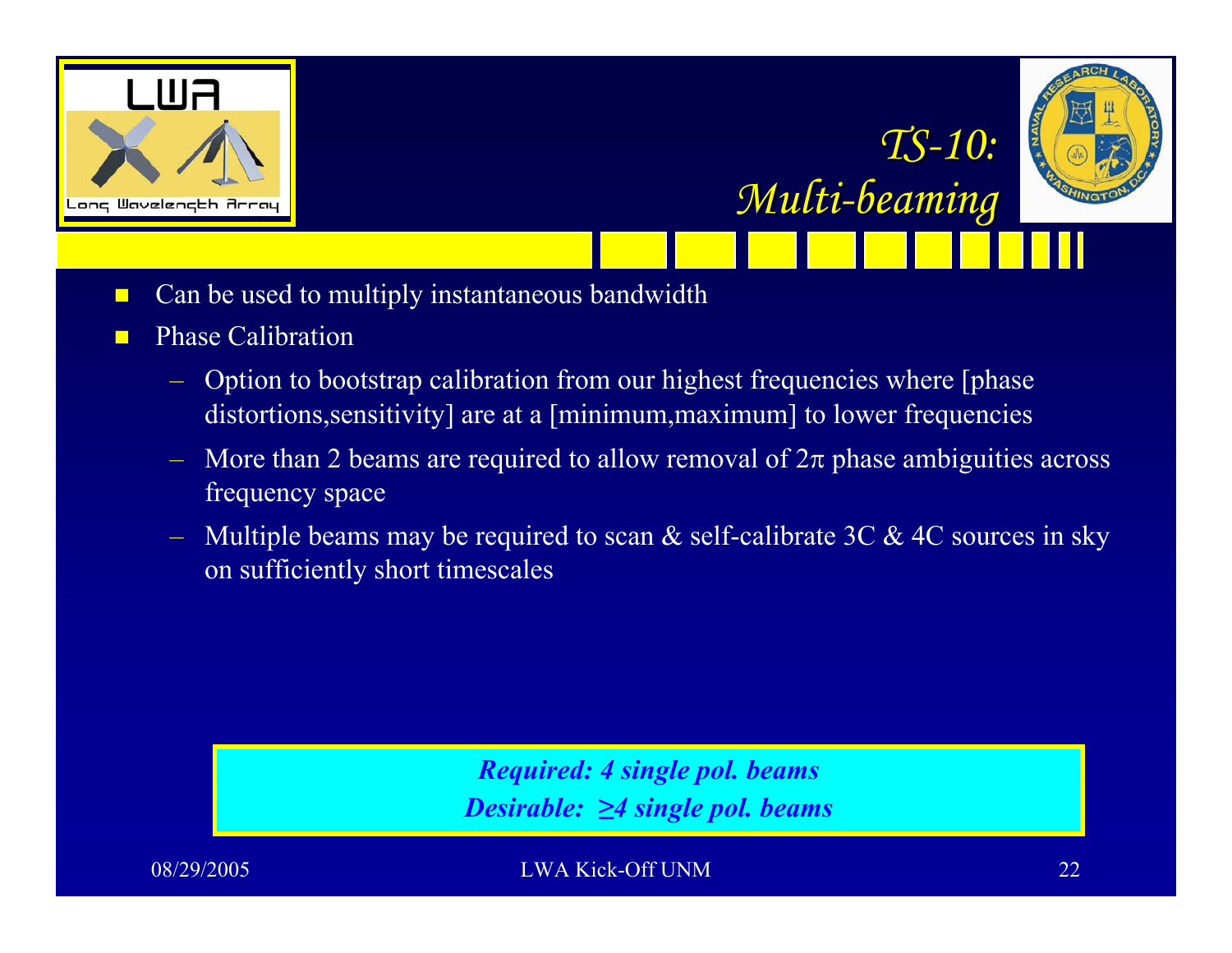



*TS -10:* 

*Multi-beaming beaming*

- $\blacksquare$ Can be used to multiply instantaneous bandwidth
- п Phase Calibration
	- Option to bootstrap calibration from our highest frequencies where [phase distortions, sensitivity] are at a [minimum, maximum] to lower frequencies
	- $-$  More than 2 beams are required to allow removal of  $2π$  phase ambiguities across frequency space
	- Multiple beams may be required to scan  $\&$  self-calibrate 3C  $\&$  4C sources in sky on sufficiently short timescales

*Required: 4 single pol. beams Desirable: ≥4 single pol. beams*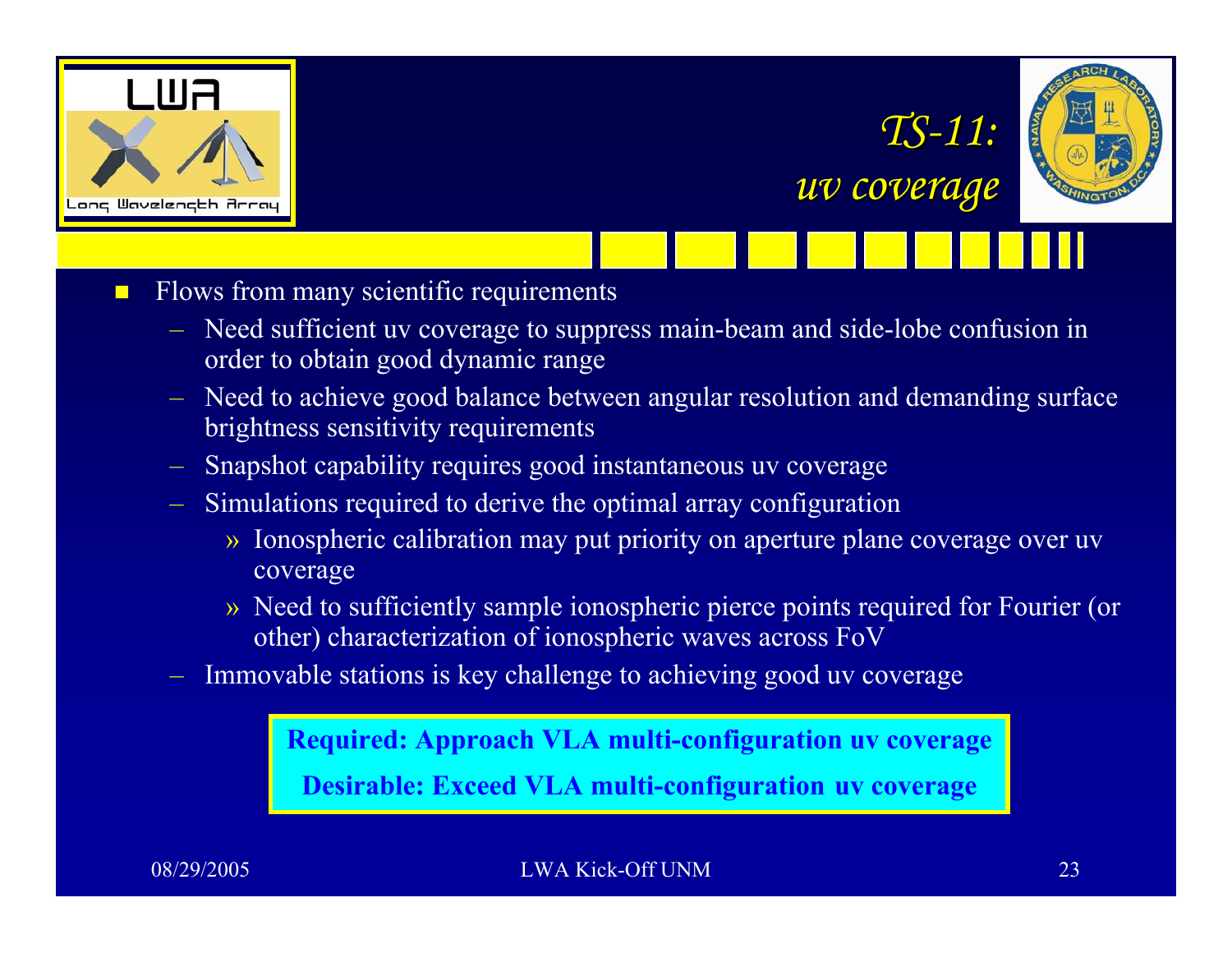

 $\Box$ 



*TS -11:*

*uv coverage uv coverage*

- Flows from many scientific requirements
	- Need sufficient uv coverage to suppress main-beam and side-lobe confusion in order to obtain good dynamic range
	- Need to achieve good balance between angular resolution and demanding surface brightness sensitivity requirements
	- Snapshot capability requires good instantaneous uv coverage
	- Simulations required to derive the optimal array configuration
		- » Ionospheric calibration may put priority on aperture plane coverage over uv coverage
		- » Need to sufficiently sample ionospheric pierce points required for Fourier (or other) characterization of ionospheric waves across FoV
	- Immovable stations is key challenge to achieving good uv coverage

**Required: Approach VLA multi-configuration uv coverage Desirable: Exceed VLA multi-configuration uv coverage**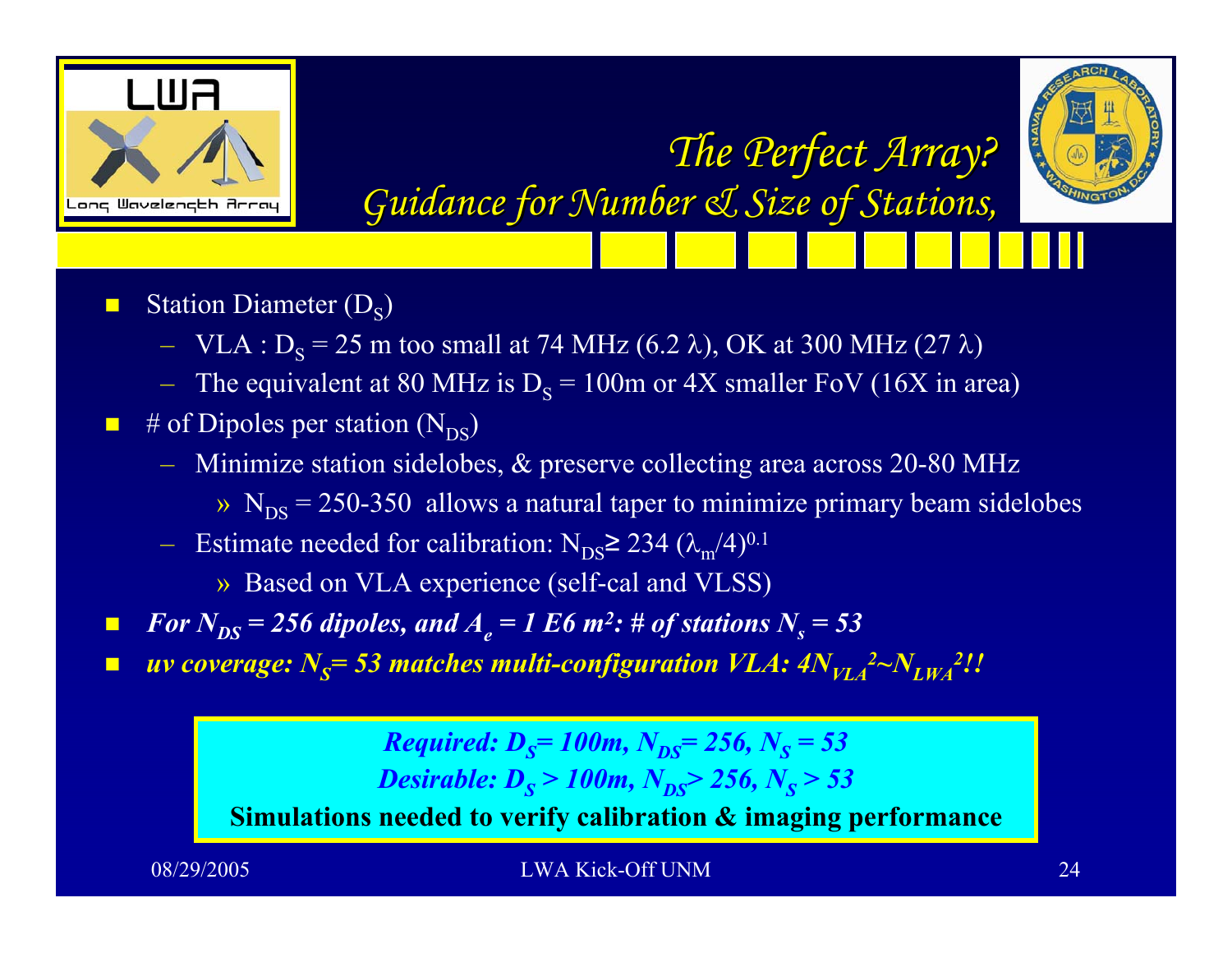



*The Perfect Array? The Perfect Array? Guidance for Number & Size of Stations, Guidance for Number & Size of Stations,*

- $\blacksquare$ **Station Diameter**  $(D_s)$ 
	- $-$  VLA : D<sub>S</sub> = 25 m too small at 74 MHz (6.2 λ), OK at 300 MHz (27 λ)
	- The equivalent at 80 MHz is  $D_s = 100$ m or 4X smaller FoV (16X in area)
- $\blacksquare$  # of Dipoles per station (N<sub>DS</sub>)
	- Minimize station sidelobes, & preserve collecting area across 20-80 MHz
		- $\rm{N_{DS}}$  = 250-350 allows a natural taper to minimize primary beam sidelobes
	- − Estimate needed for calibration: N<sub>DS</sub>≥ 234 ( $\lambda_{m}/4$ )<sup>0.1</sup>

» Based on VLA experience (self-cal and VLSS)

- $\blacksquare$ **For**  $N_{DS}$  = 256 dipoles, and  $A_e$  = 1 E6 m<sup>2</sup>: # of stations  $N_s$  = 53
- $\blacksquare$ ■ *uv coverage:*  $N_S$ = 53 matches multi-configuration  $VLA$ :  $4N_{VLA}^2$  $2N_{LWA}^2$ !!

*Required: D<sub>S</sub>= 100m, N<sub>DS</sub>= 256, N<sub>S</sub> = 53 Desirable: D<sub>S</sub>* > 100m, N<sub>DS</sub> > 256, N<sub>S</sub> > 53 **Simulations needed to verify calibration & imaging performance**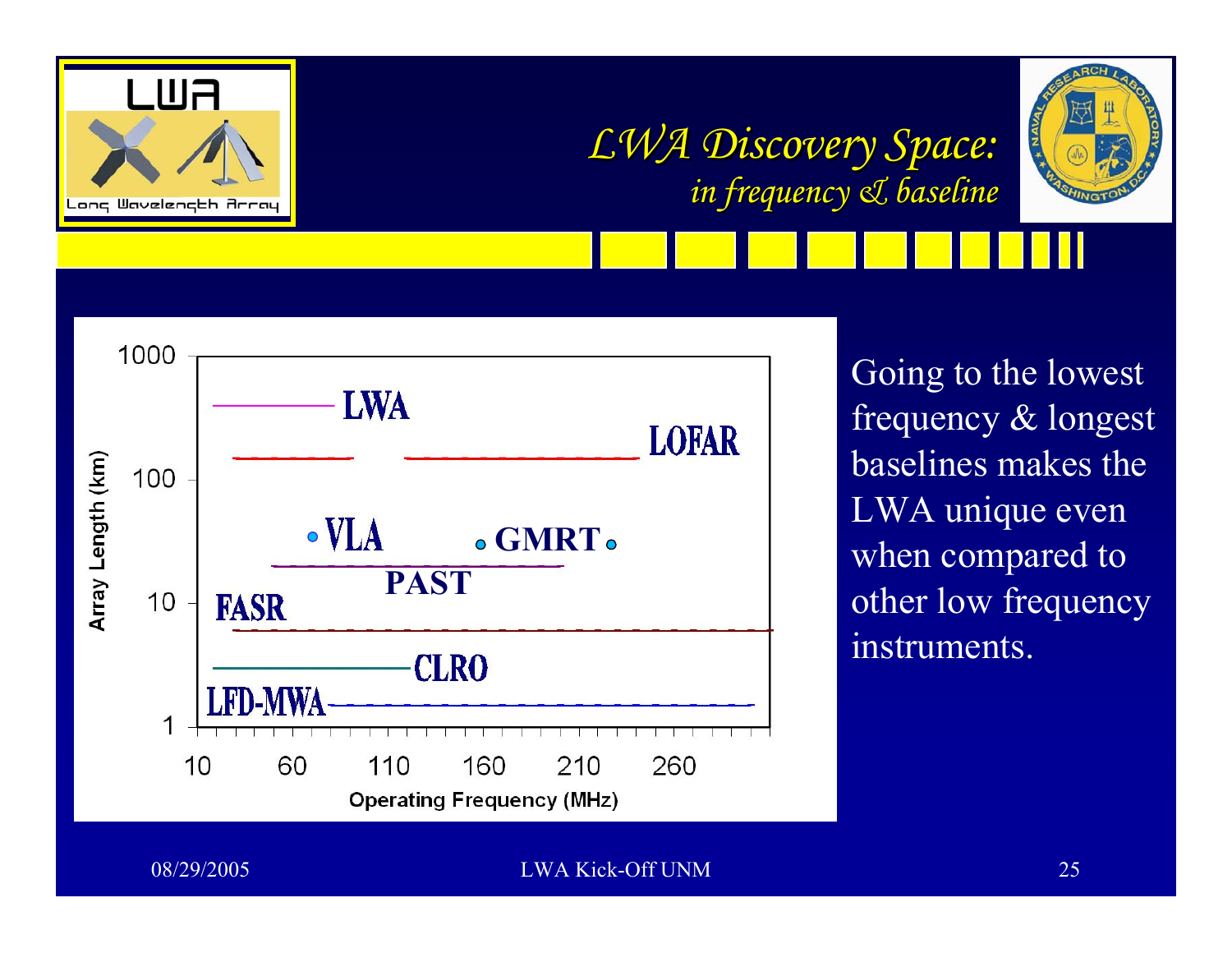

# *LWA Discovery Space: LWA Discovery Space: in frequency & baseline in frequency & baseline*





Going to the lowest frequency & longest baselines makes the LWA unique even when compared to other low frequency instruments.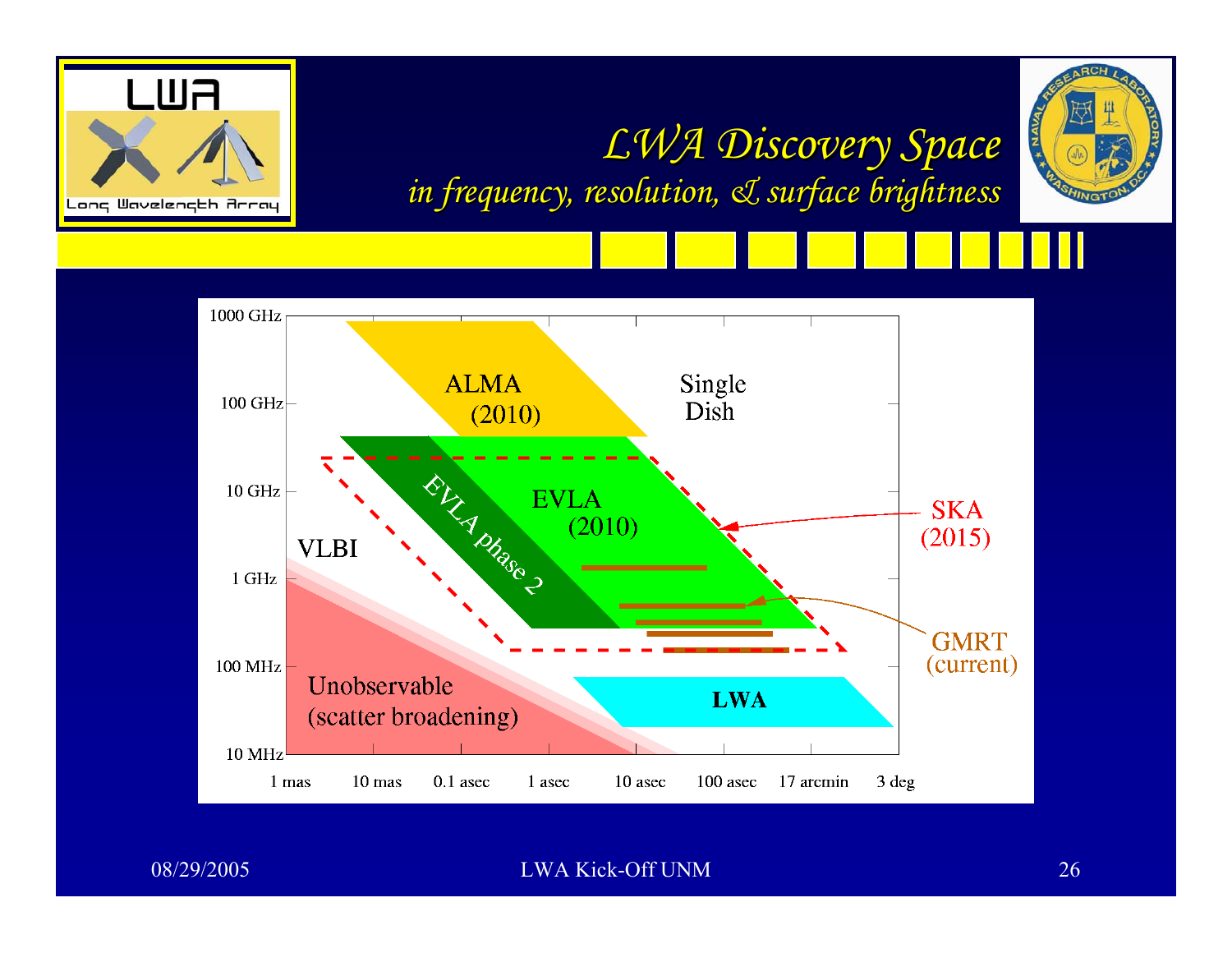





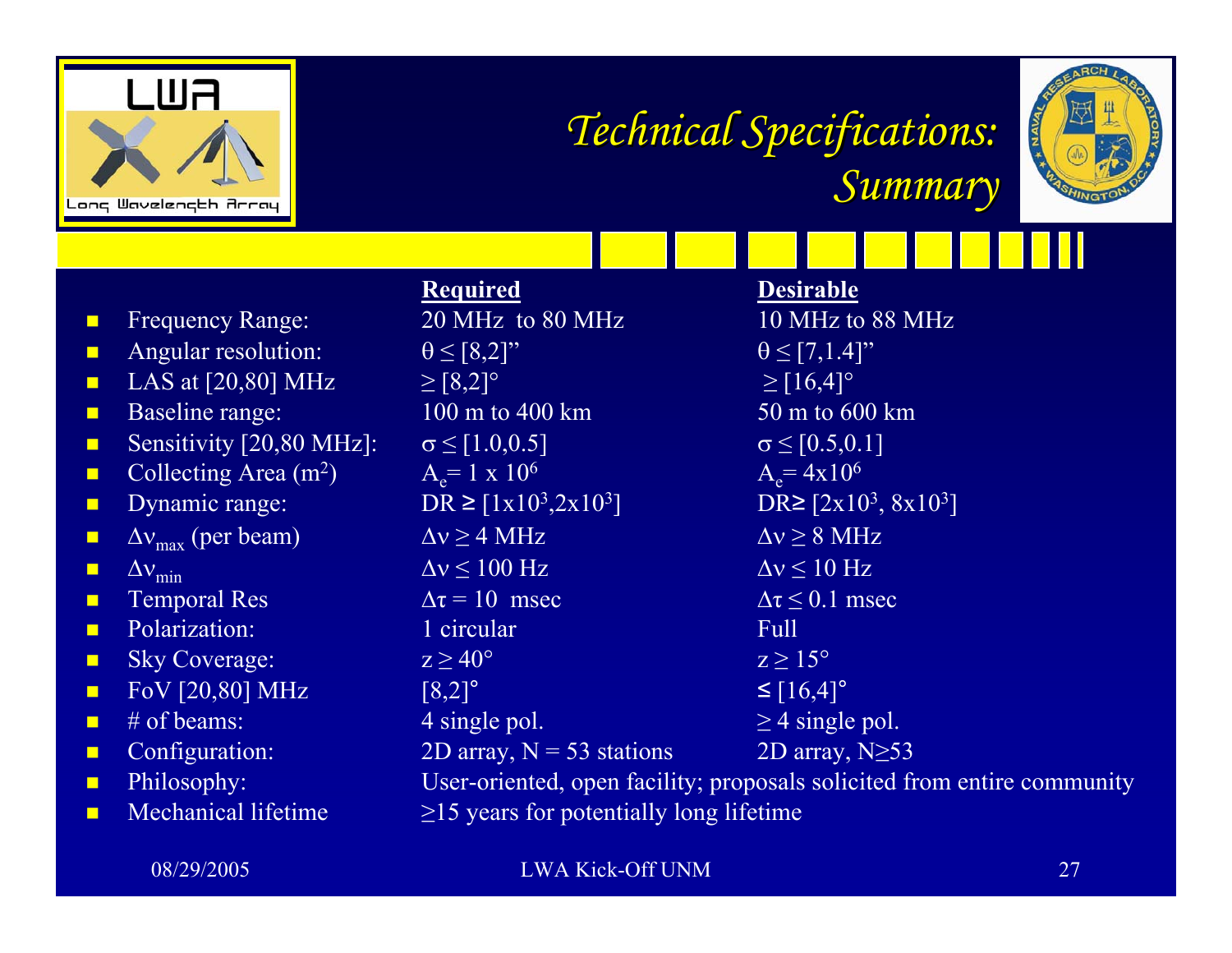

# *Technical Specifications: Technical Specifications: Summary Summary*



|                |                                    | <b>Required</b>                                                         | <b>Desirable</b>                                  |
|----------------|------------------------------------|-------------------------------------------------------------------------|---------------------------------------------------|
| $\blacksquare$ | <b>Frequency Range:</b>            | 20 MHz to 80 MHz                                                        | 10 MHz to 88 MHz                                  |
| $\blacksquare$ | Angular resolution:                | $\theta \leq [8,2]$ "                                                   | $\theta \leq [7,1.4]$ "                           |
| $\blacksquare$ | LAS at $[20,80]$ MHz               | $\ge [8,2]$ °                                                           | $\geq$ [16,4]°                                    |
| $\blacksquare$ | Baseline range:                    | 100 m to 400 km                                                         | 50 m to 600 km                                    |
| $\blacksquare$ | Sensitivity [20,80 MHz]:           | $\sigma \leq [1.0, 0.5]$                                                | $\sigma \leq [0.5, 0.1]$                          |
| $\blacksquare$ | Collecting Area $(m^2)$            | $A_e = 1 \times 10^6$                                                   | $A_e = 4x10^6$                                    |
| $\blacksquare$ | Dynamic range:                     | DR $\geq$ [1x10 <sup>3</sup> ,2x10 <sup>3</sup> ]                       | DR $\ge$ [2x10 <sup>3</sup> , 8x10 <sup>3</sup> ] |
| Ξ              | $\Delta v_{\text{max}}$ (per beam) | $\Delta v \geq 4 \text{ MHz}$                                           | $\Delta v \geq 8 \text{ MHz}$                     |
| Ξ              | $\Delta v_{\text{min}}$            | $\Delta v \le 100$ Hz                                                   | $\Delta v \leq 10$ Hz                             |
| $\blacksquare$ | <b>Temporal Res</b>                | $\Delta \tau = 10$ msec                                                 | $\Delta \tau \leq 0.1$ msec                       |
| $\blacksquare$ | Polarization:                      | 1 circular                                                              | Full                                              |
| $\blacksquare$ | <b>Sky Coverage:</b>               | $z \geq 40^{\circ}$                                                     | $z \geq 15^{\circ}$                               |
| $\blacksquare$ | FoV [20,80] MHz                    | $[8,2]^\circ$                                                           | $\leq [16,4]^{\circ}$                             |
| Ō              | $#$ of beams:                      | 4 single pol.                                                           | $\geq$ 4 single pol.                              |
| $\blacksquare$ | Configuration:                     | 2D array, $N = 53$ stations                                             | 2D array, $N \geq 53$                             |
| $\blacksquare$ | Philosophy:                        | User-oriented, open facility; proposals solicited from entire community |                                                   |
| $\blacksquare$ | Mechanical lifetime                | $\geq$ 15 years for potentially long lifetime                           |                                                   |
|                |                                    |                                                                         |                                                   |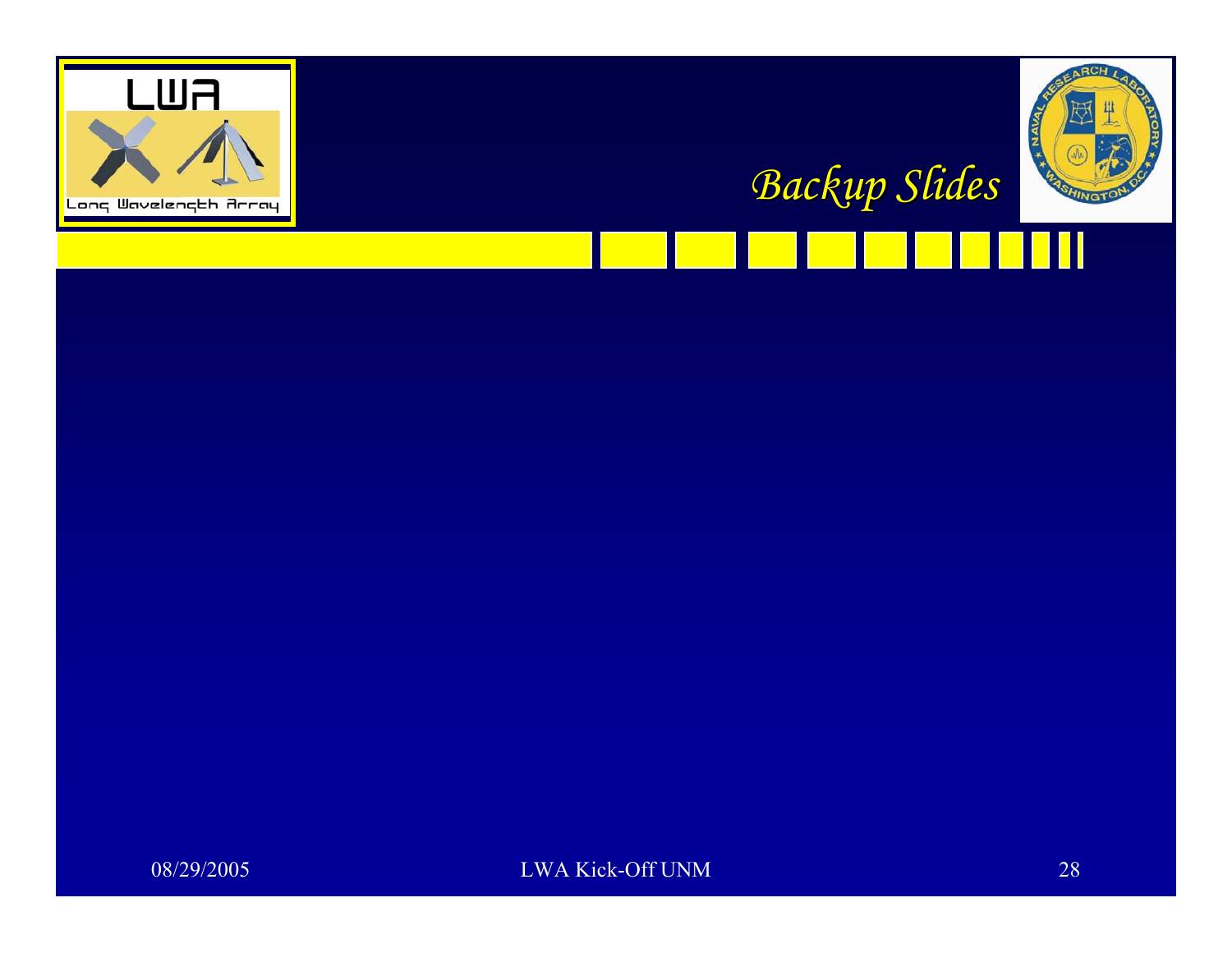



*Backup Slides Backup Slides*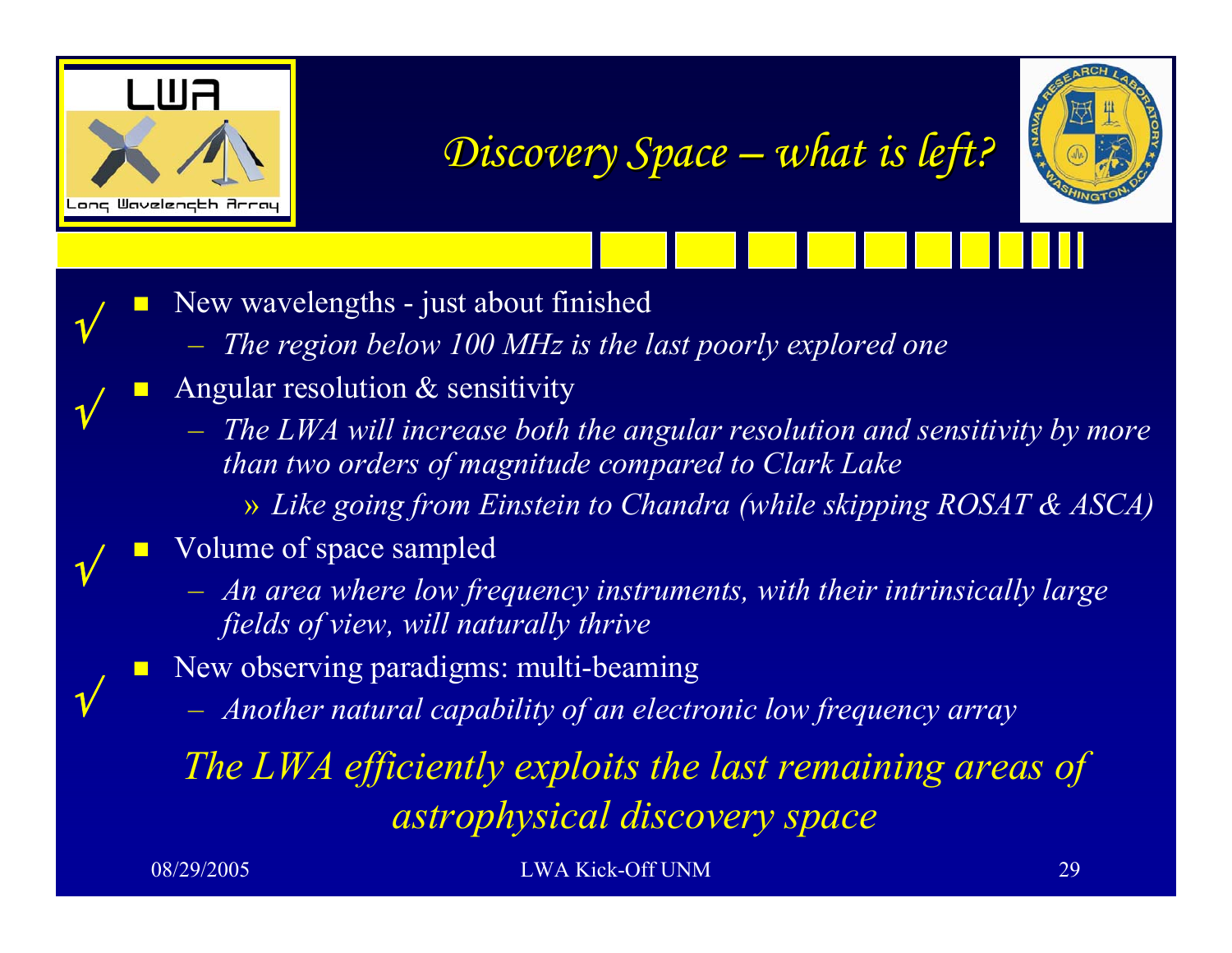

√

√

√

√

*Discovery Space Discovery Space –what is left? what is left?*



- $\mathbb{R}^2$  New wavelengths - just about finished
	- <del>– – – – –</del> *The region below 100 MHz is the last poorly explored one*
- $\Box$  Angular resolution & sensitivity
	- <del>– – – – –</del> *The LWA will increase both the angular resolution and sensitivity by more than two orders of magnitude compared to Clark Lake*
		- » *Like going from Einstein to Chandra (while skipping ROSAT & ASCA)*
- $\Box$  Volume of space sampled
	- *An area where low frequency instruments, with their intrinsically large fields of view, will naturally thrive*
- **New observing paradigms: multi-beaming** 
	- <del>– – – – –</del> *Another natural capability of an electronic low frequency array*

*The LWA efficiently exploits the last remaining areas of astrophysical discovery space*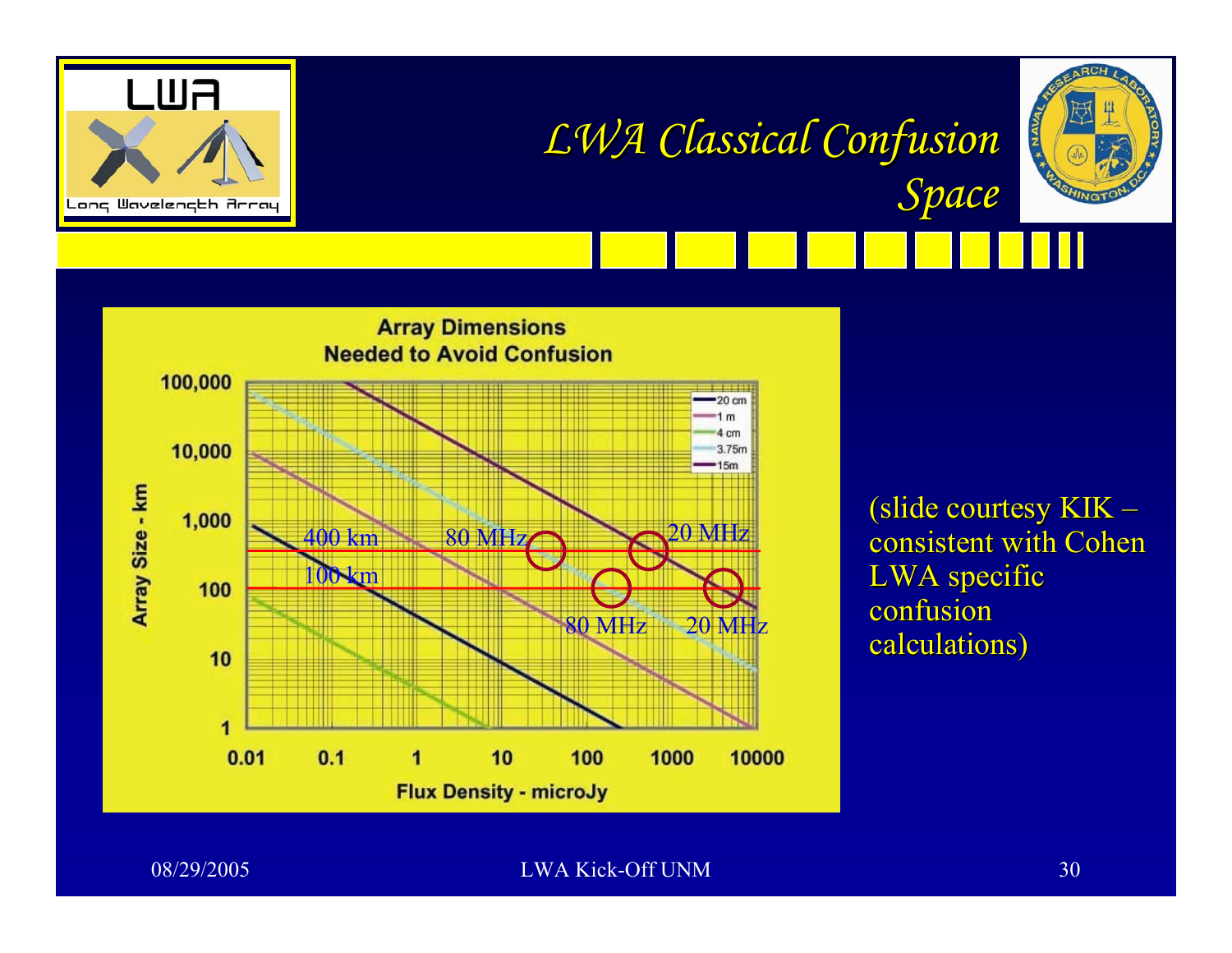





(slide courtesy KIK  $\cdot$ – consistent with Cohen LWA specific confusion calculations)

**NAVA**